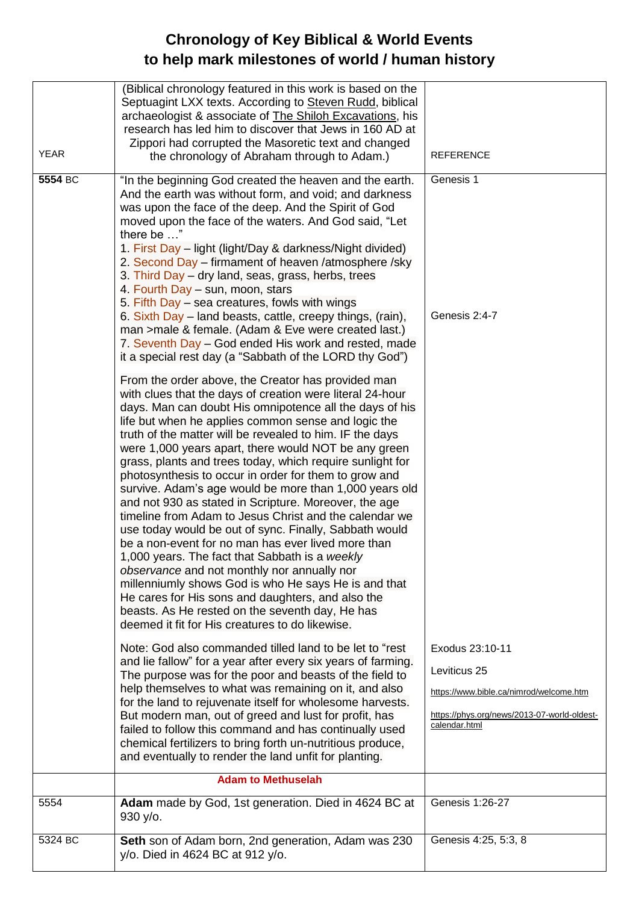## **Chronology of Key Biblical & World Events to help mark milestones of world / human history**

| (Biblical chronology featured in this work is based on the<br>Septuagint LXX texts. According to Steven Rudd, biblical<br>archaeologist & associate of The Shiloh Excavations, his<br>research has led him to discover that Jews in 160 AD at<br>Zippori had corrupted the Masoretic text and changed                                                                                                                                                                                                                                                                                                                                                                                                                                                                                                                                                                                                                                                                                                                                                                                                                                                                                                           |
|-----------------------------------------------------------------------------------------------------------------------------------------------------------------------------------------------------------------------------------------------------------------------------------------------------------------------------------------------------------------------------------------------------------------------------------------------------------------------------------------------------------------------------------------------------------------------------------------------------------------------------------------------------------------------------------------------------------------------------------------------------------------------------------------------------------------------------------------------------------------------------------------------------------------------------------------------------------------------------------------------------------------------------------------------------------------------------------------------------------------------------------------------------------------------------------------------------------------|
| <b>YEAR</b><br><b>REFERENCE</b><br>the chronology of Abraham through to Adam.)                                                                                                                                                                                                                                                                                                                                                                                                                                                                                                                                                                                                                                                                                                                                                                                                                                                                                                                                                                                                                                                                                                                                  |
| 5554 BC<br>Genesis 1<br>"In the beginning God created the heaven and the earth.<br>And the earth was without form, and void; and darkness<br>was upon the face of the deep. And the Spirit of God<br>moved upon the face of the waters. And God said, "Let<br>there be "<br>1. First Day – light (light/Day & darkness/Night divided)<br>2. Second Day – firmament of heaven /atmosphere /sky<br>3. Third Day - dry land, seas, grass, herbs, trees<br>4. Fourth Day – sun, moon, stars<br>5. Fifth Day – sea creatures, fowls with wings<br>Genesis 2:4-7<br>6. Sixth Day – land beasts, cattle, creepy things, (rain),<br>man >male & female. (Adam & Eve were created last.)                                                                                                                                                                                                                                                                                                                                                                                                                                                                                                                                 |
| 7. Seventh Day - God ended His work and rested, made<br>it a special rest day (a "Sabbath of the LORD thy God")<br>From the order above, the Creator has provided man<br>with clues that the days of creation were literal 24-hour<br>days. Man can doubt His omnipotence all the days of his<br>life but when he applies common sense and logic the<br>truth of the matter will be revealed to him. IF the days<br>were 1,000 years apart, there would NOT be any green<br>grass, plants and trees today, which require sunlight for<br>photosynthesis to occur in order for them to grow and<br>survive. Adam's age would be more than 1,000 years old<br>and not 930 as stated in Scripture. Moreover, the age<br>timeline from Adam to Jesus Christ and the calendar we<br>use today would be out of sync. Finally, Sabbath would<br>be a non-event for no man has ever lived more than<br>1,000 years. The fact that Sabbath is a weekly<br>observance and not monthly nor annually nor<br>millenniumly shows God is who He says He is and that<br>He cares for His sons and daughters, and also the<br>beasts. As He rested on the seventh day, He has<br>deemed it fit for His creatures to do likewise. |
| Note: God also commanded tilled land to be let to "rest<br>Exodus 23:10-11<br>and lie fallow" for a year after every six years of farming.<br>Leviticus 25<br>The purpose was for the poor and beasts of the field to<br>help themselves to what was remaining on it, and also<br>https://www.bible.ca/nimrod/welcome.htm<br>for the land to rejuvenate itself for wholesome harvests.<br>But modern man, out of greed and lust for profit, has<br>https://phys.org/news/2013-07-world-oldest-<br>calendar.html<br>failed to follow this command and has continually used<br>chemical fertilizers to bring forth un-nutritious produce,<br>and eventually to render the land unfit for planting.                                                                                                                                                                                                                                                                                                                                                                                                                                                                                                                |
| <b>Adam to Methuselah</b>                                                                                                                                                                                                                                                                                                                                                                                                                                                                                                                                                                                                                                                                                                                                                                                                                                                                                                                                                                                                                                                                                                                                                                                       |
| Adam made by God, 1st generation. Died in 4624 BC at<br>Genesis 1:26-27<br>5554<br>930 y/o.                                                                                                                                                                                                                                                                                                                                                                                                                                                                                                                                                                                                                                                                                                                                                                                                                                                                                                                                                                                                                                                                                                                     |
| Seth son of Adam born, 2nd generation, Adam was 230<br>5324 BC<br>Genesis 4:25, 5:3, 8<br>y/o. Died in 4624 BC at 912 y/o.                                                                                                                                                                                                                                                                                                                                                                                                                                                                                                                                                                                                                                                                                                                                                                                                                                                                                                                                                                                                                                                                                      |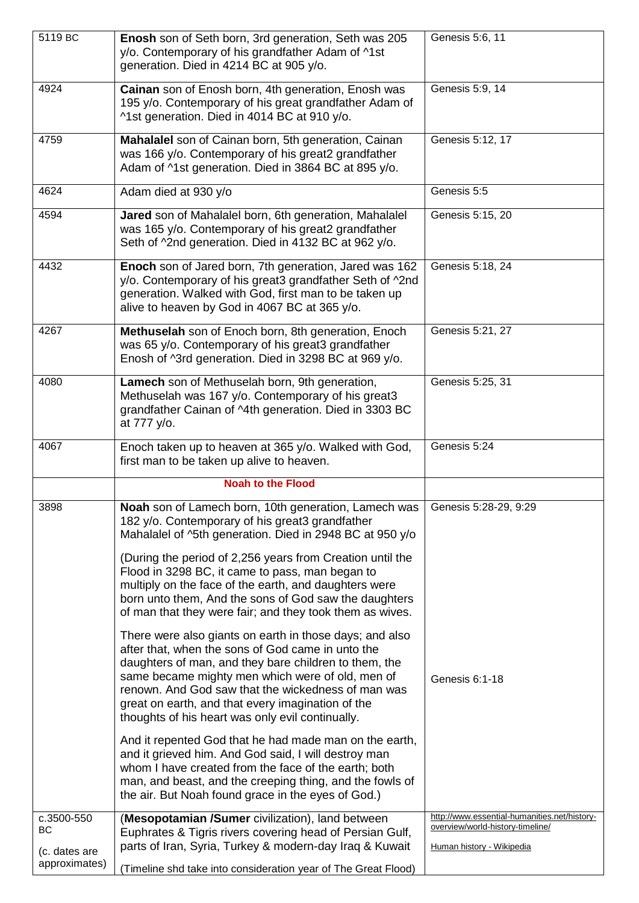| 5119 BC                                  | Enosh son of Seth born, 3rd generation, Seth was 205<br>y/o. Contemporary of his grandfather Adam of ^1st<br>generation. Died in 4214 BC at 905 y/o.                                                                                                                                                                                                                                     | Genesis 5:6, 11                                                                                               |
|------------------------------------------|------------------------------------------------------------------------------------------------------------------------------------------------------------------------------------------------------------------------------------------------------------------------------------------------------------------------------------------------------------------------------------------|---------------------------------------------------------------------------------------------------------------|
| 4924                                     | Cainan son of Enosh born, 4th generation, Enosh was<br>195 y/o. Contemporary of his great grandfather Adam of<br>^1st generation. Died in 4014 BC at 910 y/o.                                                                                                                                                                                                                            | Genesis 5:9, 14                                                                                               |
| 4759                                     | Mahalalel son of Cainan born, 5th generation, Cainan<br>was 166 y/o. Contemporary of his great2 grandfather<br>Adam of ^1st generation. Died in 3864 BC at 895 y/o.                                                                                                                                                                                                                      | Genesis 5:12, 17                                                                                              |
| 4624                                     | Adam died at 930 y/o                                                                                                                                                                                                                                                                                                                                                                     | Genesis 5:5                                                                                                   |
| 4594                                     | Jared son of Mahalalel born, 6th generation, Mahalalel<br>was 165 y/o. Contemporary of his great2 grandfather<br>Seth of ^2nd generation. Died in 4132 BC at 962 y/o.                                                                                                                                                                                                                    | Genesis 5:15, 20                                                                                              |
| 4432                                     | Enoch son of Jared born, 7th generation, Jared was 162<br>y/o. Contemporary of his great3 grandfather Seth of ^2nd<br>generation. Walked with God, first man to be taken up<br>alive to heaven by God in 4067 BC at 365 y/o.                                                                                                                                                             | Genesis 5:18, 24                                                                                              |
| 4267                                     | Methuselah son of Enoch born, 8th generation, Enoch<br>was 65 y/o. Contemporary of his great3 grandfather<br>Enosh of ^3rd generation. Died in 3298 BC at 969 y/o.                                                                                                                                                                                                                       | Genesis 5:21, 27                                                                                              |
| 4080                                     | Lamech son of Methuselah born, 9th generation,<br>Methuselah was 167 y/o. Contemporary of his great3<br>grandfather Cainan of ^4th generation. Died in 3303 BC<br>at 777 y/o.                                                                                                                                                                                                            | Genesis 5:25, 31                                                                                              |
| 4067                                     | Enoch taken up to heaven at 365 y/o. Walked with God,<br>first man to be taken up alive to heaven.                                                                                                                                                                                                                                                                                       | Genesis 5:24                                                                                                  |
|                                          | <b>Noah to the Flood</b>                                                                                                                                                                                                                                                                                                                                                                 |                                                                                                               |
| 3898                                     | Noah son of Lamech born, 10th generation, Lamech was   Genesis 5:28-29, 9:29<br>182 y/o. Contemporary of his great3 grandfather<br>Mahalalel of ^5th generation. Died in 2948 BC at 950 y/o                                                                                                                                                                                              |                                                                                                               |
|                                          | (During the period of 2,256 years from Creation until the<br>Flood in 3298 BC, it came to pass, man began to<br>multiply on the face of the earth, and daughters were<br>born unto them, And the sons of God saw the daughters<br>of man that they were fair; and they took them as wives.                                                                                               |                                                                                                               |
|                                          | There were also giants on earth in those days; and also<br>after that, when the sons of God came in unto the<br>daughters of man, and they bare children to them, the<br>same became mighty men which were of old, men of<br>renown. And God saw that the wickedness of man was<br>great on earth, and that every imagination of the<br>thoughts of his heart was only evil continually. | Genesis 6:1-18                                                                                                |
|                                          | And it repented God that he had made man on the earth,<br>and it grieved him. And God said, I will destroy man<br>whom I have created from the face of the earth; both<br>man, and beast, and the creeping thing, and the fowls of<br>the air. But Noah found grace in the eyes of God.)                                                                                                 |                                                                                                               |
| c.3500-550<br><b>BC</b><br>(c. dates are | (Mesopotamian /Sumer civilization), land between<br>Euphrates & Tigris rivers covering head of Persian Gulf,<br>parts of Iran, Syria, Turkey & modern-day Iraq & Kuwait                                                                                                                                                                                                                  | http://www.essential-humanities.net/history-<br>overview/world-history-timeline/<br>Human history - Wikipedia |
| approximates)                            | (Timeline shd take into consideration year of The Great Flood)                                                                                                                                                                                                                                                                                                                           |                                                                                                               |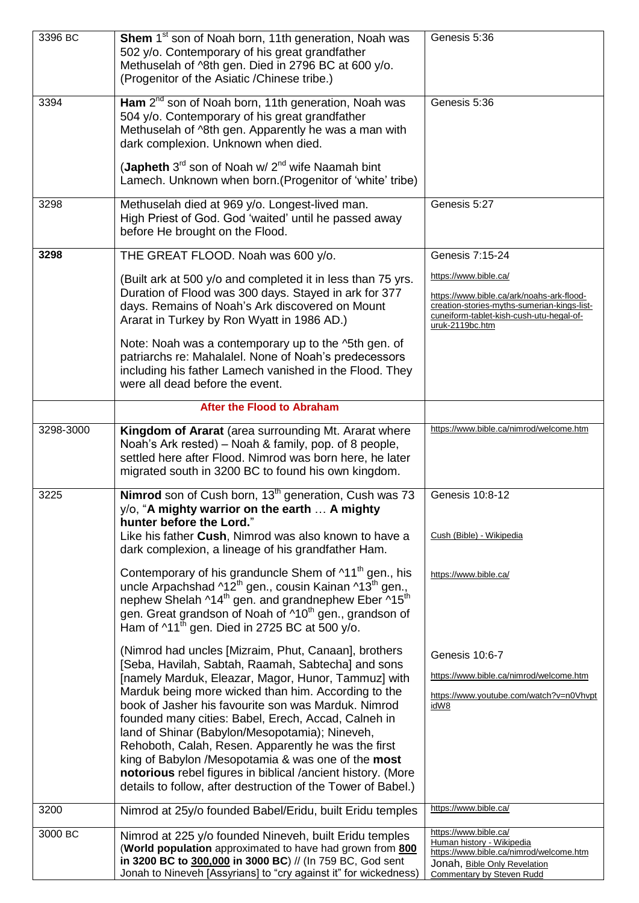| 3396 BC   | Shem 1 <sup>st</sup> son of Noah born, 11th generation, Noah was<br>502 y/o. Contemporary of his great grandfather<br>Methuselah of ^8th gen. Died in 2796 BC at 600 y/o.<br>(Progenitor of the Asiatic /Chinese tribe.)                                                                                                                                              | Genesis 5:36                                                                                                                                                                     |
|-----------|-----------------------------------------------------------------------------------------------------------------------------------------------------------------------------------------------------------------------------------------------------------------------------------------------------------------------------------------------------------------------|----------------------------------------------------------------------------------------------------------------------------------------------------------------------------------|
| 3394      | Ham $2^{nd}$ son of Noah born, 11th generation, Noah was<br>504 y/o. Contemporary of his great grandfather<br>Methuselah of ^8th gen. Apparently he was a man with<br>dark complexion. Unknown when died.                                                                                                                                                             | Genesis 5:36                                                                                                                                                                     |
|           | (Japheth $3^{rd}$ son of Noah w/ $2^{nd}$ wife Naamah bint<br>Lamech. Unknown when born. (Progenitor of 'white' tribe)                                                                                                                                                                                                                                                |                                                                                                                                                                                  |
| 3298      | Methuselah died at 969 y/o. Longest-lived man.<br>High Priest of God. God 'waited' until he passed away<br>before He brought on the Flood.                                                                                                                                                                                                                            | Genesis 5:27                                                                                                                                                                     |
| 3298      | THE GREAT FLOOD. Noah was 600 y/o.                                                                                                                                                                                                                                                                                                                                    | Genesis 7:15-24                                                                                                                                                                  |
|           | (Built ark at 500 y/o and completed it in less than 75 yrs.<br>Duration of Flood was 300 days. Stayed in ark for 377<br>days. Remains of Noah's Ark discovered on Mount<br>Ararat in Turkey by Ron Wyatt in 1986 AD.)                                                                                                                                                 | https://www.bible.ca/<br>https://www.bible.ca/ark/noahs-ark-flood-<br>creation-stories-myths-sumerian-kings-list-<br>cuneiform-tablet-kish-cush-utu-hegal-of-<br>uruk-2119bc.htm |
|           | Note: Noah was a contemporary up to the ^5th gen. of<br>patriarchs re: Mahalalel. None of Noah's predecessors<br>including his father Lamech vanished in the Flood. They<br>were all dead before the event.                                                                                                                                                           |                                                                                                                                                                                  |
|           | <b>After the Flood to Abraham</b>                                                                                                                                                                                                                                                                                                                                     |                                                                                                                                                                                  |
| 3298-3000 | Kingdom of Ararat (area surrounding Mt. Ararat where<br>Noah's Ark rested) – Noah & family, pop. of 8 people,<br>settled here after Flood. Nimrod was born here, he later<br>migrated south in 3200 BC to found his own kingdom.                                                                                                                                      | https://www.bible.ca/nimrod/welcome.htm                                                                                                                                          |
| 3225      | Nimrod son of Cush born, 13 <sup>th</sup> generation, Cush was 73<br>y/o, "A mighty warrior on the earth  A mighty<br>hunter before the Lord."<br>Like his father Cush, Nimrod was also known to have a                                                                                                                                                               | Genesis 10:8-12<br>Cush (Bible) - Wikipedia                                                                                                                                      |
|           | dark complexion, a lineage of his grandfather Ham.                                                                                                                                                                                                                                                                                                                    |                                                                                                                                                                                  |
|           | Contemporary of his granduncle Shem of ^11 <sup>th</sup> gen., his<br>uncle Arpachshad ^12 <sup>th</sup> gen., cousin Kainan ^13 <sup>th</sup> gen.,<br>nephew Shelah ^14 <sup>th</sup> gen. and grandnephew Eber ^15 <sup>th</sup><br>gen. Great grandson of Noah of ^10 <sup>th</sup> gen., grandson of<br>Ham of $11^{\text{th}}$ gen. Died in 2725 BC at 500 y/o. | https://www.bible.ca/                                                                                                                                                            |
|           | (Nimrod had uncles [Mizraim, Phut, Canaan], brothers                                                                                                                                                                                                                                                                                                                  | Genesis 10:6-7                                                                                                                                                                   |
|           | [Seba, Havilah, Sabtah, Raamah, Sabtecha] and sons<br>[namely Marduk, Eleazar, Magor, Hunor, Tammuz] with                                                                                                                                                                                                                                                             | https://www.bible.ca/nimrod/welcome.htm                                                                                                                                          |
|           | Marduk being more wicked than him. According to the<br>book of Jasher his favourite son was Marduk. Nimrod                                                                                                                                                                                                                                                            | https://www.youtube.com/watch?v=n0Vhvpt                                                                                                                                          |
|           | founded many cities: Babel, Erech, Accad, Calneh in<br>land of Shinar (Babylon/Mesopotamia); Nineveh,<br>Rehoboth, Calah, Resen. Apparently he was the first<br>king of Babylon /Mesopotamia & was one of the most<br>notorious rebel figures in biblical /ancient history. (More<br>details to follow, after destruction of the Tower of Babel.)                     | idW8                                                                                                                                                                             |
| 3200      | Nimrod at 25y/o founded Babel/Eridu, built Eridu temples                                                                                                                                                                                                                                                                                                              | https://www.bible.ca/                                                                                                                                                            |
| 3000 BC   | Nimrod at 225 y/o founded Nineveh, built Eridu temples<br>(World population approximated to have had grown from 800<br>in 3200 BC to 300,000 in 3000 BC) // (In 759 BC, God sent<br>Jonah to Nineveh [Assyrians] to "cry against it" for wickedness)                                                                                                                  | https://www.bible.ca/<br>Human history - Wikipedia<br>https://www.bible.ca/nimrod/welcome.htm<br>Jonah, Bible Only Revelation<br>Commentary by Steven Rudd                       |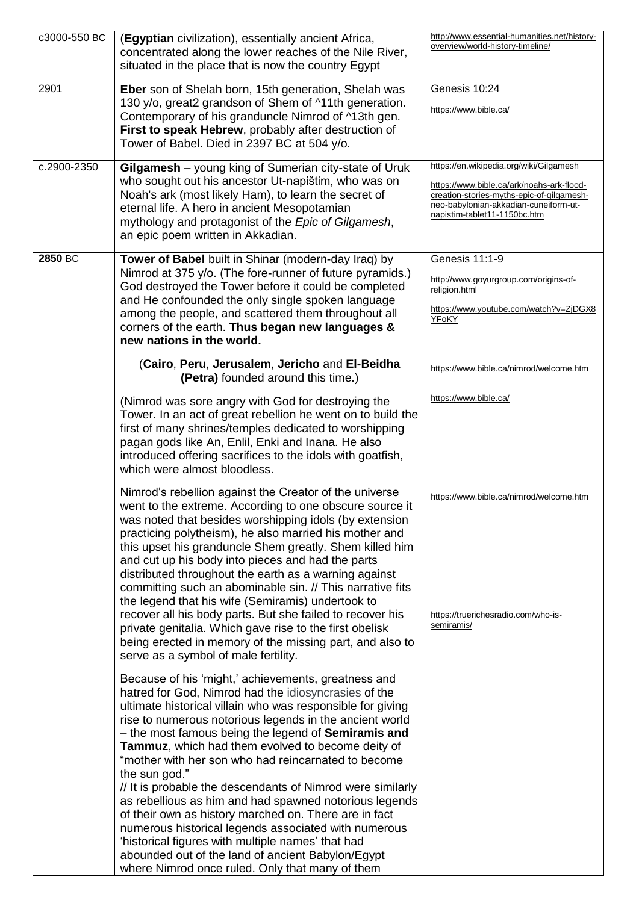| c3000-550 BC | (Egyptian civilization), essentially ancient Africa,<br>concentrated along the lower reaches of the Nile River,<br>situated in the place that is now the country Egypt                                                                                                                                                                                                                                                                                                                                                                                                                                                                                                                                                                                                                                                                | http://www.essential-humanities.net/history-<br>overview/world-history-timeline/                                                                                                                           |
|--------------|---------------------------------------------------------------------------------------------------------------------------------------------------------------------------------------------------------------------------------------------------------------------------------------------------------------------------------------------------------------------------------------------------------------------------------------------------------------------------------------------------------------------------------------------------------------------------------------------------------------------------------------------------------------------------------------------------------------------------------------------------------------------------------------------------------------------------------------|------------------------------------------------------------------------------------------------------------------------------------------------------------------------------------------------------------|
| 2901         | Eber son of Shelah born, 15th generation, Shelah was<br>130 y/o, great2 grandson of Shem of ^11th generation.<br>Contemporary of his granduncle Nimrod of ^13th gen.<br>First to speak Hebrew, probably after destruction of<br>Tower of Babel. Died in 2397 BC at 504 y/o.                                                                                                                                                                                                                                                                                                                                                                                                                                                                                                                                                           | Genesis 10:24<br>https://www.bible.ca/                                                                                                                                                                     |
| c.2900-2350  | Gilgamesh - young king of Sumerian city-state of Uruk<br>who sought out his ancestor Ut-napištim, who was on<br>Noah's ark (most likely Ham), to learn the secret of<br>eternal life. A hero in ancient Mesopotamian<br>mythology and protagonist of the Epic of Gilgamesh,<br>an epic poem written in Akkadian.                                                                                                                                                                                                                                                                                                                                                                                                                                                                                                                      | https://en.wikipedia.org/wiki/Gilgamesh<br>https://www.bible.ca/ark/noahs-ark-flood-<br>creation-stories-myths-epic-of-gilgamesh-<br>neo-babylonian-akkadian-cuneiform-ut-<br>napistim-tablet11-1150bc.htm |
| 2850 BC      | Tower of Babel built in Shinar (modern-day Iraq) by<br>Nimrod at 375 y/o. (The fore-runner of future pyramids.)<br>God destroyed the Tower before it could be completed<br>and He confounded the only single spoken language<br>among the people, and scattered them throughout all<br>corners of the earth. Thus began new languages &<br>new nations in the world.                                                                                                                                                                                                                                                                                                                                                                                                                                                                  | Genesis 11:1-9<br>http://www.goyurgroup.com/origins-of-<br>religion.html<br>https://www.youtube.com/watch?v=ZjDGX8<br>YFoKY                                                                                |
|              | (Cairo, Peru, Jerusalem, Jericho and El-Beidha<br>(Petra) founded around this time.)                                                                                                                                                                                                                                                                                                                                                                                                                                                                                                                                                                                                                                                                                                                                                  | https://www.bible.ca/nimrod/welcome.htm                                                                                                                                                                    |
|              | (Nimrod was sore angry with God for destroying the<br>Tower. In an act of great rebellion he went on to build the<br>first of many shrines/temples dedicated to worshipping<br>pagan gods like An, Enlil, Enki and Inana. He also<br>introduced offering sacrifices to the idols with goatfish,<br>which were almost bloodless.                                                                                                                                                                                                                                                                                                                                                                                                                                                                                                       | https://www.bible.ca/                                                                                                                                                                                      |
|              | Nimrod's rebellion against the Creator of the universe<br>went to the extreme. According to one obscure source it<br>was noted that besides worshipping idols (by extension<br>practicing polytheism), he also married his mother and<br>this upset his granduncle Shem greatly. Shem killed him<br>and cut up his body into pieces and had the parts<br>distributed throughout the earth as a warning against<br>committing such an abominable sin. // This narrative fits<br>the legend that his wife (Semiramis) undertook to<br>recover all his body parts. But she failed to recover his<br>private genitalia. Which gave rise to the first obelisk<br>being erected in memory of the missing part, and also to<br>serve as a symbol of male fertility.                                                                          | https://www.bible.ca/nimrod/welcome.htm<br>https://truerichesradio.com/who-is-<br>semiramis/                                                                                                               |
|              | Because of his 'might,' achievements, greatness and<br>hatred for God, Nimrod had the idiosyncrasies of the<br>ultimate historical villain who was responsible for giving<br>rise to numerous notorious legends in the ancient world<br>- the most famous being the legend of <b>Semiramis and</b><br>Tammuz, which had them evolved to become deity of<br>"mother with her son who had reincarnated to become<br>the sun god."<br>// It is probable the descendants of Nimrod were similarly<br>as rebellious as him and had spawned notorious legends<br>of their own as history marched on. There are in fact<br>numerous historical legends associated with numerous<br>'historical figures with multiple names' that had<br>abounded out of the land of ancient Babylon/Egypt<br>where Nimrod once ruled. Only that many of them |                                                                                                                                                                                                            |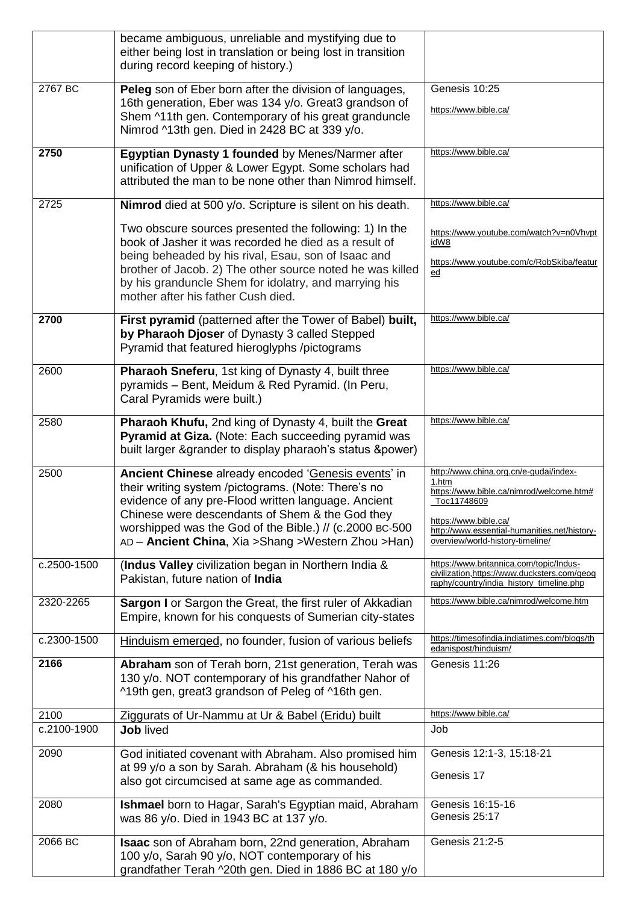|             | became ambiguous, unreliable and mystifying due to<br>either being lost in translation or being lost in transition<br>during record keeping of history.)                                                                                                                                                                                 |                                                                                                                                                                                                                         |
|-------------|------------------------------------------------------------------------------------------------------------------------------------------------------------------------------------------------------------------------------------------------------------------------------------------------------------------------------------------|-------------------------------------------------------------------------------------------------------------------------------------------------------------------------------------------------------------------------|
| 2767 BC     | Peleg son of Eber born after the division of languages,<br>16th generation, Eber was 134 y/o. Great3 grandson of<br>Shem ^11th gen. Contemporary of his great granduncle<br>Nimrod ^13th gen. Died in 2428 BC at 339 y/o.                                                                                                                | Genesis 10:25<br>https://www.bible.ca/                                                                                                                                                                                  |
| 2750        | Egyptian Dynasty 1 founded by Menes/Narmer after<br>unification of Upper & Lower Egypt. Some scholars had<br>attributed the man to be none other than Nimrod himself.                                                                                                                                                                    | https://www.bible.ca/                                                                                                                                                                                                   |
| 2725        | Nimrod died at 500 y/o. Scripture is silent on his death.                                                                                                                                                                                                                                                                                | https://www.bible.ca/                                                                                                                                                                                                   |
|             | Two obscure sources presented the following: 1) In the<br>book of Jasher it was recorded he died as a result of<br>being beheaded by his rival, Esau, son of Isaac and<br>brother of Jacob. 2) The other source noted he was killed<br>by his granduncle Shem for idolatry, and marrying his                                             | https://www.youtube.com/watch?v=n0Vhvpt<br>idW8<br>https://www.youtube.com/c/RobSkiba/featur<br>ed                                                                                                                      |
|             | mother after his father Cush died.                                                                                                                                                                                                                                                                                                       |                                                                                                                                                                                                                         |
| 2700        | First pyramid (patterned after the Tower of Babel) built,<br>by Pharaoh Djoser of Dynasty 3 called Stepped<br>Pyramid that featured hieroglyphs /pictograms                                                                                                                                                                              | https://www.bible.ca/                                                                                                                                                                                                   |
| 2600        | Pharaoh Sneferu, 1st king of Dynasty 4, built three<br>pyramids - Bent, Meidum & Red Pyramid. (In Peru,<br>Caral Pyramids were built.)                                                                                                                                                                                                   | https://www.bible.ca/                                                                                                                                                                                                   |
| 2580        | Pharaoh Khufu, 2nd king of Dynasty 4, built the Great<br>Pyramid at Giza. (Note: Each succeeding pyramid was<br>built larger & grander to display pharaoh's status & power)                                                                                                                                                              | https://www.bible.ca/                                                                                                                                                                                                   |
| 2500        | Ancient Chinese already encoded 'Genesis events' in<br>their writing system /pictograms. (Note: There's no<br>evidence of any pre-Flood written language. Ancient<br>Chinese were descendants of Shem & the God they<br>worshipped was the God of the Bible.) // (c.2000 BC-500<br>AD - Ancient China, Xia > Shang > Western Zhou > Han) | http://www.china.org.cn/e-gudai/index-<br>1.htm<br>https://www.bible.ca/nimrod/welcome.htm#<br>Toc11748609<br>https://www.bible.ca/<br>http://www.essential-humanities.net/history-<br>overview/world-history-timeline/ |
| c.2500-1500 | (Indus Valley civilization began in Northern India &<br>Pakistan, future nation of India                                                                                                                                                                                                                                                 | https://www.britannica.com/topic/Indus-<br>civilization, https://www.ducksters.com/geog<br>raphy/country/india_history_timeline.php                                                                                     |
| 2320-2265   | Sargon I or Sargon the Great, the first ruler of Akkadian<br>Empire, known for his conquests of Sumerian city-states                                                                                                                                                                                                                     | https://www.bible.ca/nimrod/welcome.htm                                                                                                                                                                                 |
| c.2300-1500 | Hinduism emerged, no founder, fusion of various beliefs                                                                                                                                                                                                                                                                                  | https://timesofindia.indiatimes.com/blogs/th<br>edanispost/hinduism/                                                                                                                                                    |
| 2166        | Abraham son of Terah born, 21st generation, Terah was<br>130 y/o. NOT contemporary of his grandfather Nahor of<br>^19th gen, great3 grandson of Peleg of ^16th gen.                                                                                                                                                                      | Genesis 11:26                                                                                                                                                                                                           |
| 2100        | Ziggurats of Ur-Nammu at Ur & Babel (Eridu) built                                                                                                                                                                                                                                                                                        | https://www.bible.ca/                                                                                                                                                                                                   |
| c.2100-1900 | <b>Job lived</b>                                                                                                                                                                                                                                                                                                                         | Job                                                                                                                                                                                                                     |
| 2090        | God initiated covenant with Abraham. Also promised him<br>at 99 y/o a son by Sarah. Abraham (& his household)<br>also got circumcised at same age as commanded.                                                                                                                                                                          | Genesis 12:1-3, 15:18-21<br>Genesis 17                                                                                                                                                                                  |
| 2080        | Ishmael born to Hagar, Sarah's Egyptian maid, Abraham<br>was 86 y/o. Died in 1943 BC at 137 y/o.                                                                                                                                                                                                                                         | Genesis 16:15-16<br>Genesis 25:17                                                                                                                                                                                       |
| 2066 BC     | <b>Isaac</b> son of Abraham born, 22nd generation, Abraham<br>100 y/o, Sarah 90 y/o, NOT contemporary of his<br>grandfather Terah ^20th gen. Died in 1886 BC at 180 y/o                                                                                                                                                                  | Genesis 21:2-5                                                                                                                                                                                                          |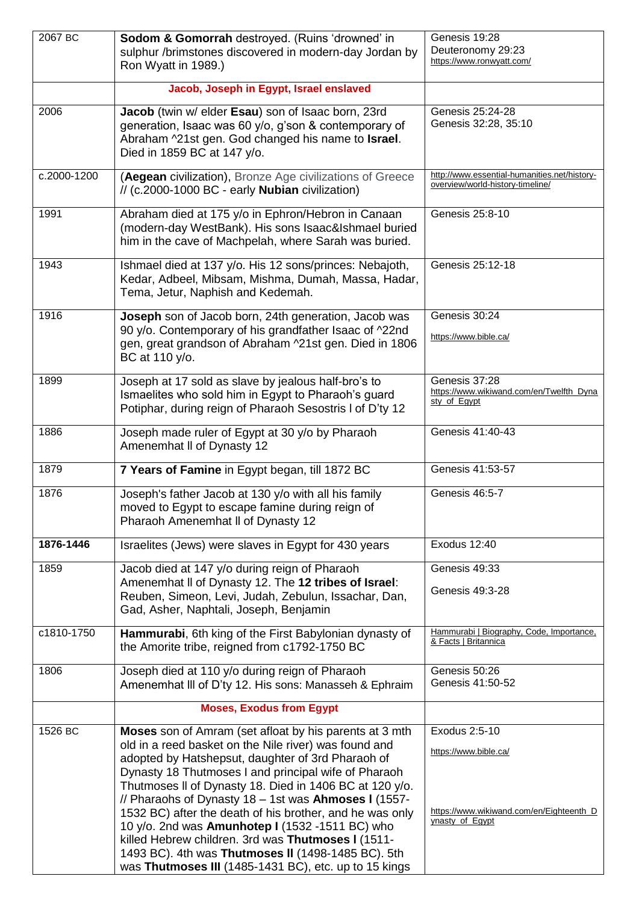| 2067 BC     | Sodom & Gomorrah destroyed. (Ruins 'drowned' in                                                                  | Genesis 19:28                                                    |
|-------------|------------------------------------------------------------------------------------------------------------------|------------------------------------------------------------------|
|             | sulphur /brimstones discovered in modern-day Jordan by<br>Ron Wyatt in 1989.)                                    | Deuteronomy 29:23<br>https://www.ronwyatt.com/                   |
|             |                                                                                                                  |                                                                  |
|             | Jacob, Joseph in Egypt, Israel enslaved                                                                          |                                                                  |
| 2006        | Jacob (twin w/ elder Esau) son of Isaac born, 23rd<br>generation, Isaac was 60 y/o, g'son & contemporary of      | Genesis 25:24-28<br>Genesis 32:28, 35:10                         |
|             | Abraham ^21st gen. God changed his name to Israel.                                                               |                                                                  |
|             | Died in 1859 BC at 147 y/o.                                                                                      |                                                                  |
| c.2000-1200 | (Aegean civilization), Bronze Age civilizations of Greece                                                        | http://www.essential-humanities.net/history-                     |
|             | // (c.2000-1000 BC - early <b>Nubian</b> civilization)                                                           | overview/world-history-timeline/                                 |
| 1991        | Abraham died at 175 y/o in Ephron/Hebron in Canaan                                                               | Genesis 25:8-10                                                  |
|             | (modern-day WestBank). His sons Isaac&Ishmael buried                                                             |                                                                  |
|             | him in the cave of Machpelah, where Sarah was buried.                                                            |                                                                  |
| 1943        | Ishmael died at 137 y/o. His 12 sons/princes: Nebajoth,                                                          | Genesis 25:12-18                                                 |
|             | Kedar, Adbeel, Mibsam, Mishma, Dumah, Massa, Hadar,<br>Tema, Jetur, Naphish and Kedemah.                         |                                                                  |
| 1916        | Joseph son of Jacob born, 24th generation, Jacob was                                                             | Genesis 30:24                                                    |
|             | 90 y/o. Contemporary of his grandfather Isaac of ^22nd                                                           |                                                                  |
|             | gen, great grandson of Abraham ^21st gen. Died in 1806                                                           | https://www.bible.ca/                                            |
|             | BC at 110 y/o.                                                                                                   |                                                                  |
| 1899        | Joseph at 17 sold as slave by jealous half-bro's to                                                              | Genesis 37:28<br>https://www.wikiwand.com/en/Twelfth_Dyna        |
|             | Ismaelites who sold him in Egypt to Pharaoh's guard<br>Potiphar, during reign of Pharaoh Sesostris I of D'ty 12  | sty_of_Egypt                                                     |
|             |                                                                                                                  |                                                                  |
| 1886        | Joseph made ruler of Egypt at 30 y/o by Pharaoh<br>Amenemhat II of Dynasty 12                                    | Genesis 41:40-43                                                 |
| 1879        | 7 Years of Famine in Egypt began, till 1872 BC                                                                   | Genesis 41:53-57                                                 |
|             |                                                                                                                  |                                                                  |
| 1876        | Joseph's father Jacob at 130 y/o with all his family<br>moved to Egypt to escape famine during reign of          | Genesis 46:5-7                                                   |
|             | Pharaoh Amenemhat II of Dynasty 12                                                                               |                                                                  |
| 1876-1446   | Israelites (Jews) were slaves in Egypt for 430 years                                                             | Exodus 12:40                                                     |
| 1859        |                                                                                                                  | Genesis 49:33                                                    |
|             | Jacob died at 147 y/o during reign of Pharaoh<br>Amenemhat II of Dynasty 12. The 12 tribes of Israel:            |                                                                  |
|             | Reuben, Simeon, Levi, Judah, Zebulun, Issachar, Dan,                                                             | Genesis 49:3-28                                                  |
|             | Gad, Asher, Naphtali, Joseph, Benjamin                                                                           |                                                                  |
| c1810-1750  | Hammurabi, 6th king of the First Babylonian dynasty of                                                           | Hammurabi   Biography, Code, Importance,<br>& Facts   Britannica |
|             | the Amorite tribe, reigned from c1792-1750 BC                                                                    |                                                                  |
| 1806        | Joseph died at 110 y/o during reign of Pharaoh                                                                   | Genesis 50:26                                                    |
|             | Amenemhat III of D'ty 12. His sons: Manasseh & Ephraim                                                           | Genesis 41:50-52                                                 |
|             | <b>Moses, Exodus from Egypt</b>                                                                                  |                                                                  |
| 1526 BC     | Moses son of Amram (set afloat by his parents at 3 mth                                                           | Exodus 2:5-10                                                    |
|             | old in a reed basket on the Nile river) was found and<br>adopted by Hatshepsut, daughter of 3rd Pharaoh of       | https://www.bible.ca/                                            |
|             | Dynasty 18 Thutmoses I and principal wife of Pharaoh                                                             |                                                                  |
|             | Thutmoses II of Dynasty 18. Died in 1406 BC at 120 y/o.                                                          |                                                                  |
|             | // Pharaohs of Dynasty 18 - 1st was Ahmoses I (1557-<br>1532 BC) after the death of his brother, and he was only | https://www.wikiwand.com/en/Eighteenth_D                         |
|             | 10 y/o. 2nd was Amunhotep I (1532 -1511 BC) who                                                                  | ynasty_of_Egypt                                                  |
|             | killed Hebrew children. 3rd was Thutmoses I (1511-                                                               |                                                                  |
|             | 1493 BC). 4th was Thutmoses II (1498-1485 BC). 5th<br>was Thutmoses III (1485-1431 BC), etc. up to 15 kings      |                                                                  |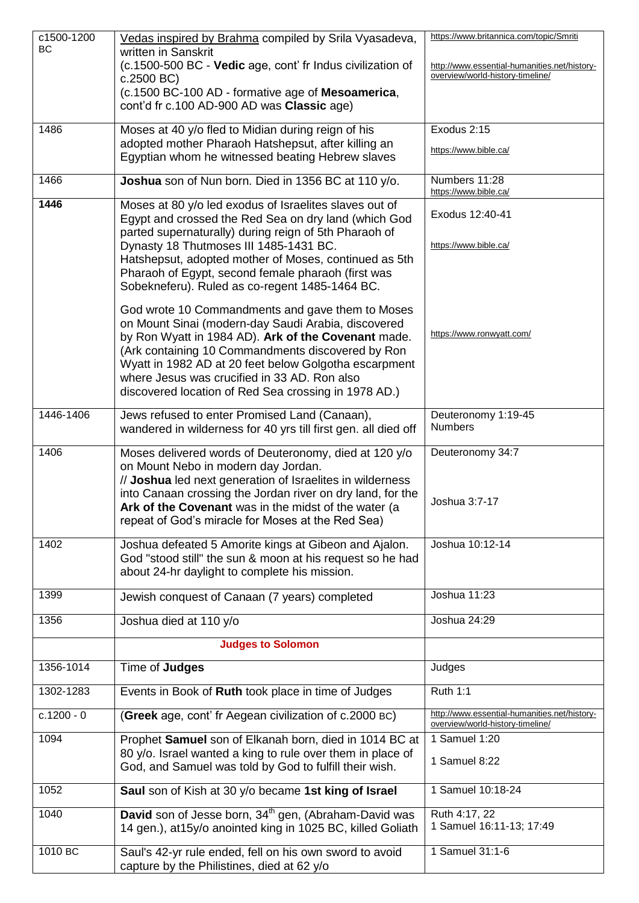| c1500-1200   | Vedas inspired by Brahma compiled by Srila Vyasadeva,                                                                                                                                                                                                                                                                                                                                | https://www.britannica.com/topic/Smriti                                          |
|--------------|--------------------------------------------------------------------------------------------------------------------------------------------------------------------------------------------------------------------------------------------------------------------------------------------------------------------------------------------------------------------------------------|----------------------------------------------------------------------------------|
| <b>BC</b>    | written in Sanskrit<br>(c.1500-500 BC - Vedic age, cont' fr Indus civilization of<br>c.2500 BC)                                                                                                                                                                                                                                                                                      | http://www.essential-humanities.net/history-<br>overview/world-history-timeline/ |
|              | (c.1500 BC-100 AD - formative age of Mesoamerica,<br>cont'd fr c.100 AD-900 AD was Classic age)                                                                                                                                                                                                                                                                                      |                                                                                  |
| 1486         | Moses at 40 y/o fled to Midian during reign of his                                                                                                                                                                                                                                                                                                                                   | Exodus 2:15                                                                      |
|              | adopted mother Pharaoh Hatshepsut, after killing an<br>Egyptian whom he witnessed beating Hebrew slaves                                                                                                                                                                                                                                                                              | https://www.bible.ca/                                                            |
| 1466         | Joshua son of Nun born. Died in 1356 BC at 110 y/o.                                                                                                                                                                                                                                                                                                                                  | Numbers 11:28<br>https://www.bible.ca/                                           |
| 1446         | Moses at 80 y/o led exodus of Israelites slaves out of<br>Egypt and crossed the Red Sea on dry land (which God<br>parted supernaturally) during reign of 5th Pharaoh of                                                                                                                                                                                                              | Exodus 12:40-41                                                                  |
|              | Dynasty 18 Thutmoses III 1485-1431 BC.<br>Hatshepsut, adopted mother of Moses, continued as 5th<br>Pharaoh of Egypt, second female pharaoh (first was<br>Sobekneferu). Ruled as co-regent 1485-1464 BC.                                                                                                                                                                              | https://www.bible.ca/                                                            |
|              | God wrote 10 Commandments and gave them to Moses<br>on Mount Sinai (modern-day Saudi Arabia, discovered<br>by Ron Wyatt in 1984 AD). Ark of the Covenant made.<br>(Ark containing 10 Commandments discovered by Ron<br>Wyatt in 1982 AD at 20 feet below Golgotha escarpment<br>where Jesus was crucified in 33 AD. Ron also<br>discovered location of Red Sea crossing in 1978 AD.) | https://www.ronwyatt.com/                                                        |
| 1446-1406    | Jews refused to enter Promised Land (Canaan),<br>wandered in wilderness for 40 yrs till first gen. all died off                                                                                                                                                                                                                                                                      | Deuteronomy 1:19-45<br><b>Numbers</b>                                            |
| 1406         | Moses delivered words of Deuteronomy, died at 120 y/o<br>on Mount Nebo in modern day Jordan.<br>// Joshua led next generation of Israelites in wilderness<br>into Canaan crossing the Jordan river on dry land, for the<br>Ark of the Covenant was in the midst of the water (a<br>repeat of God's miracle for Moses at the Red Sea)                                                 | Deuteronomy 34:7<br>Joshua 3:7-17                                                |
| 1402         | Joshua defeated 5 Amorite kings at Gibeon and Ajalon.<br>God "stood still" the sun & moon at his request so he had<br>about 24-hr daylight to complete his mission.                                                                                                                                                                                                                  | Joshua 10:12-14                                                                  |
| 1399         | Jewish conquest of Canaan (7 years) completed                                                                                                                                                                                                                                                                                                                                        | Joshua 11:23                                                                     |
| 1356         | Joshua died at 110 y/o                                                                                                                                                                                                                                                                                                                                                               | Joshua 24:29                                                                     |
|              | <b>Judges to Solomon</b>                                                                                                                                                                                                                                                                                                                                                             |                                                                                  |
| 1356-1014    | Time of Judges                                                                                                                                                                                                                                                                                                                                                                       | Judges                                                                           |
| 1302-1283    | Events in Book of Ruth took place in time of Judges                                                                                                                                                                                                                                                                                                                                  | <b>Ruth 1:1</b>                                                                  |
| $c.1200 - 0$ | (Greek age, cont' fr Aegean civilization of c.2000 BC)                                                                                                                                                                                                                                                                                                                               | http://www.essential-humanities.net/history-<br>overview/world-history-timeline/ |
| 1094         | Prophet Samuel son of Elkanah born, died in 1014 BC at<br>80 y/o. Israel wanted a king to rule over them in place of<br>God, and Samuel was told by God to fulfill their wish.                                                                                                                                                                                                       | 1 Samuel 1:20<br>1 Samuel 8:22                                                   |
| 1052         | Saul son of Kish at 30 y/o became 1st king of Israel                                                                                                                                                                                                                                                                                                                                 | 1 Samuel 10:18-24                                                                |
| 1040         | David son of Jesse born, 34 <sup>th</sup> gen, (Abraham-David was<br>14 gen.), at 15y/o anointed king in 1025 BC, killed Goliath                                                                                                                                                                                                                                                     | Ruth 4:17, 22<br>1 Samuel 16:11-13; 17:49                                        |
| 1010 BC      | Saul's 42-yr rule ended, fell on his own sword to avoid<br>capture by the Philistines, died at 62 y/o                                                                                                                                                                                                                                                                                | 1 Samuel 31:1-6                                                                  |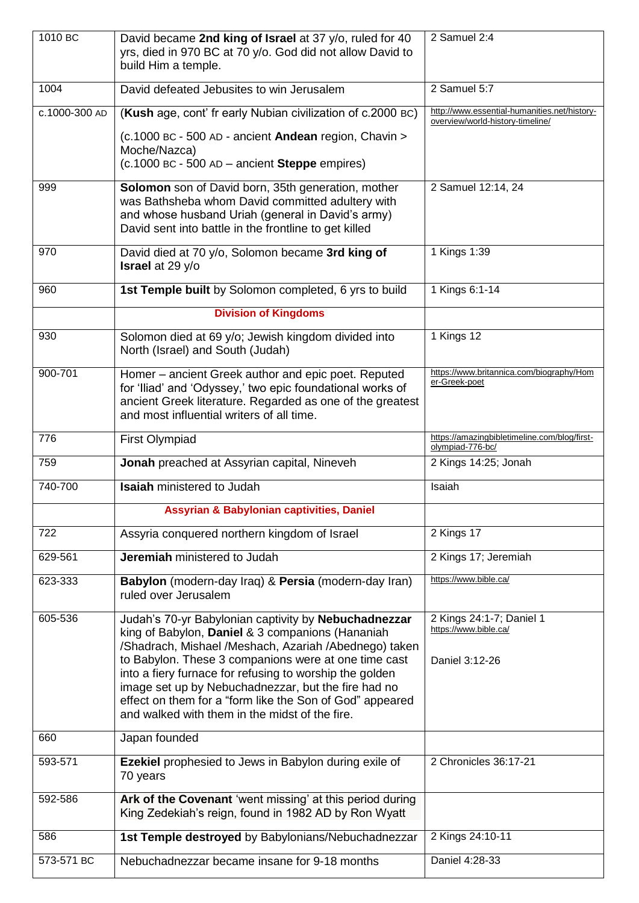| 1010 BC       | David became 2nd king of Israel at 37 y/o, ruled for 40<br>yrs, died in 970 BC at 70 y/o. God did not allow David to<br>build Him a temple.                                                                                                                                          | 2 Samuel 2:4                                                                     |
|---------------|--------------------------------------------------------------------------------------------------------------------------------------------------------------------------------------------------------------------------------------------------------------------------------------|----------------------------------------------------------------------------------|
| 1004          | David defeated Jebusites to win Jerusalem                                                                                                                                                                                                                                            | 2 Samuel 5:7                                                                     |
| c.1000-300 AD | (Kush age, cont' fr early Nubian civilization of c.2000 BC)                                                                                                                                                                                                                          | http://www.essential-humanities.net/history-<br>overview/world-history-timeline/ |
|               | (c.1000 BC - 500 AD - ancient Andean region, Chavin ><br>Moche/Nazca)                                                                                                                                                                                                                |                                                                                  |
|               | $(c.1000$ BC - 500 AD - ancient <b>Steppe</b> empires)                                                                                                                                                                                                                               |                                                                                  |
| 999           | Solomon son of David born, 35th generation, mother<br>was Bathsheba whom David committed adultery with<br>and whose husband Uriah (general in David's army)<br>David sent into battle in the frontline to get killed                                                                 | 2 Samuel 12:14, 24                                                               |
| 970           | David died at 70 y/o, Solomon became 3rd king of<br><b>Israel</b> at 29 y/o                                                                                                                                                                                                          | 1 Kings 1:39                                                                     |
| 960           | 1st Temple built by Solomon completed, 6 yrs to build                                                                                                                                                                                                                                | 1 Kings 6:1-14                                                                   |
|               | <b>Division of Kingdoms</b>                                                                                                                                                                                                                                                          |                                                                                  |
| 930           | Solomon died at 69 y/o; Jewish kingdom divided into<br>North (Israel) and South (Judah)                                                                                                                                                                                              | 1 Kings 12                                                                       |
| 900-701       | Homer - ancient Greek author and epic poet. Reputed<br>for 'Iliad' and 'Odyssey,' two epic foundational works of<br>ancient Greek literature. Regarded as one of the greatest<br>and most influential writers of all time.                                                           | https://www.britannica.com/biography/Hom<br>er-Greek-poet                        |
| 776           | First Olympiad                                                                                                                                                                                                                                                                       | https://amazingbibletimeline.com/blog/first-<br>olympiad-776-bc/                 |
| 759           | Jonah preached at Assyrian capital, Nineveh                                                                                                                                                                                                                                          | 2 Kings 14:25; Jonah                                                             |
| 740-700       | <b>Isaiah</b> ministered to Judah                                                                                                                                                                                                                                                    | Isaiah                                                                           |
|               | Assyrian & Babylonian captivities, Daniel                                                                                                                                                                                                                                            |                                                                                  |
| 722           | Assyria conquered northern kingdom of Israel                                                                                                                                                                                                                                         | 2 Kings 17                                                                       |
| 629-561       | Jeremiah ministered to Judah                                                                                                                                                                                                                                                         | 2 Kings 17; Jeremiah                                                             |
| 623-333       | Babylon (modern-day Iraq) & Persia (modern-day Iran)<br>ruled over Jerusalem                                                                                                                                                                                                         | https://www.bible.ca/                                                            |
| 605-536       | Judah's 70-yr Babylonian captivity by Nebuchadnezzar<br>king of Babylon, Daniel & 3 companions (Hananiah<br>/Shadrach, Mishael /Meshach, Azariah /Abednego) taken                                                                                                                    | 2 Kings 24:1-7; Daniel 1<br>https://www.bible.ca/                                |
|               | to Babylon. These 3 companions were at one time cast<br>into a fiery furnace for refusing to worship the golden<br>image set up by Nebuchadnezzar, but the fire had no<br>effect on them for a "form like the Son of God" appeared<br>and walked with them in the midst of the fire. | Daniel 3:12-26                                                                   |
| 660           | Japan founded                                                                                                                                                                                                                                                                        |                                                                                  |
| 593-571       | Ezekiel prophesied to Jews in Babylon during exile of<br>70 years                                                                                                                                                                                                                    | 2 Chronicles 36:17-21                                                            |
| 592-586       | Ark of the Covenant 'went missing' at this period during<br>King Zedekiah's reign, found in 1982 AD by Ron Wyatt                                                                                                                                                                     |                                                                                  |
| 586           | 1st Temple destroyed by Babylonians/Nebuchadnezzar                                                                                                                                                                                                                                   | 2 Kings 24:10-11                                                                 |
| 573-571 BC    | Nebuchadnezzar became insane for 9-18 months                                                                                                                                                                                                                                         | Daniel 4:28-33                                                                   |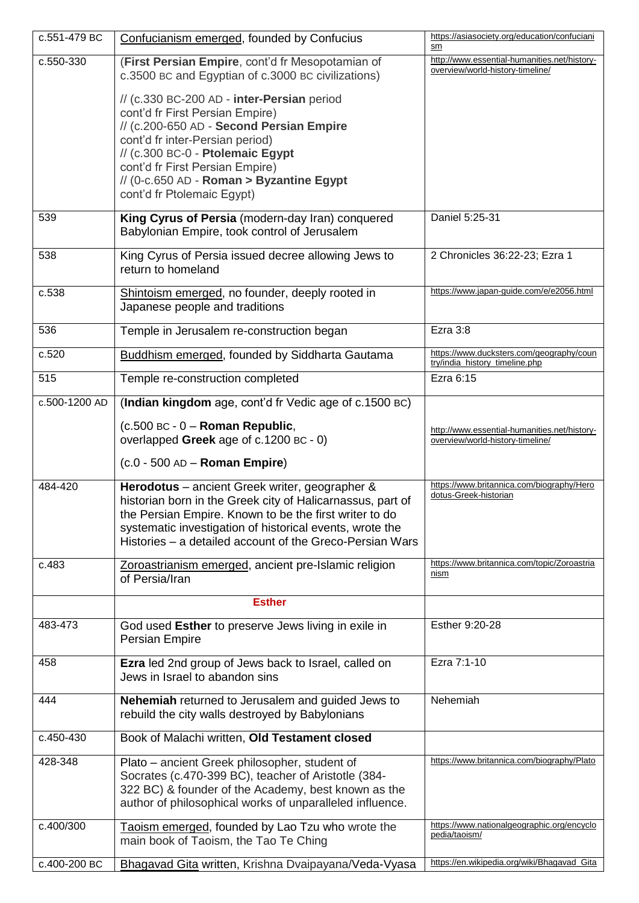| c.551-479 BC  | Confucianism emerged, founded by Confucius                                                                                                                                                                                                                                                                    | https://asiasociety.org/education/confuciani<br>sm                               |
|---------------|---------------------------------------------------------------------------------------------------------------------------------------------------------------------------------------------------------------------------------------------------------------------------------------------------------------|----------------------------------------------------------------------------------|
| c.550-330     | (First Persian Empire, cont'd fr Mesopotamian of<br>c.3500 BC and Egyptian of c.3000 BC civilizations)                                                                                                                                                                                                        | http://www.essential-humanities.net/history-<br>overview/world-history-timeline/ |
|               | // (c.330 BC-200 AD - inter-Persian period<br>cont'd fr First Persian Empire)<br>// (c.200-650 AD - Second Persian Empire<br>cont'd fr inter-Persian period)<br>// (c.300 BC-0 - Ptolemaic Egypt<br>cont'd fr First Persian Empire)<br>// (0-c.650 AD - Roman > Byzantine Egypt<br>cont'd fr Ptolemaic Egypt) |                                                                                  |
| 539           | King Cyrus of Persia (modern-day Iran) conquered<br>Babylonian Empire, took control of Jerusalem                                                                                                                                                                                                              | Daniel 5:25-31                                                                   |
| 538           | King Cyrus of Persia issued decree allowing Jews to<br>return to homeland                                                                                                                                                                                                                                     | 2 Chronicles 36:22-23; Ezra 1                                                    |
| c.538         | Shintoism emerged, no founder, deeply rooted in<br>Japanese people and traditions                                                                                                                                                                                                                             | https://www.japan-guide.com/e/e2056.html                                         |
| 536           | Temple in Jerusalem re-construction began                                                                                                                                                                                                                                                                     | Ezra 3:8                                                                         |
| c.520         | Buddhism emerged, founded by Siddharta Gautama                                                                                                                                                                                                                                                                | https://www.ducksters.com/geography/coun<br>try/india_history_timeline.php       |
| 515           | Temple re-construction completed                                                                                                                                                                                                                                                                              | Ezra 6:15                                                                        |
| c.500-1200 AD | (Indian kingdom age, cont'd fr Vedic age of c.1500 BC)                                                                                                                                                                                                                                                        |                                                                                  |
|               | $(c.500$ BC - 0 - Roman Republic,<br>overlapped Greek age of c.1200 BC - 0)                                                                                                                                                                                                                                   | http://www.essential-humanities.net/history-<br>overview/world-history-timeline/ |
|               | $(c.0 - 500$ AD - Roman Empire)                                                                                                                                                                                                                                                                               |                                                                                  |
| 484-420       | Herodotus - ancient Greek writer, geographer &<br>historian born in the Greek city of Halicarnassus, part of<br>the Persian Empire. Known to be the first writer to do<br>systematic investigation of historical events, wrote the<br>Histories – a detailed account of the Greco-Persian Wars                | https://www.britannica.com/biography/Hero<br>dotus-Greek-historian               |
| c.483         | Zoroastrianism emerged, ancient pre-Islamic religion<br>of Persia/Iran                                                                                                                                                                                                                                        | https://www.britannica.com/topic/Zoroastria<br>nism                              |
|               | <b>Esther</b>                                                                                                                                                                                                                                                                                                 |                                                                                  |
| 483-473       | God used Esther to preserve Jews living in exile in<br>Persian Empire                                                                                                                                                                                                                                         | Esther 9:20-28                                                                   |
| 458           | <b>Ezra</b> led 2nd group of Jews back to Israel, called on<br>Jews in Israel to abandon sins                                                                                                                                                                                                                 | Ezra 7:1-10                                                                      |
| 444           | <b>Nehemiah</b> returned to Jerusalem and guided Jews to<br>rebuild the city walls destroyed by Babylonians                                                                                                                                                                                                   | Nehemiah                                                                         |
| c.450-430     | Book of Malachi written, Old Testament closed                                                                                                                                                                                                                                                                 |                                                                                  |
| 428-348       | Plato – ancient Greek philosopher, student of<br>Socrates (c.470-399 BC), teacher of Aristotle (384-<br>322 BC) & founder of the Academy, best known as the<br>author of philosophical works of unparalleled influence.                                                                                       | https://www.britannica.com/biography/Plato                                       |
| c.400/300     | Taoism emerged, founded by Lao Tzu who wrote the<br>main book of Taoism, the Tao Te Ching                                                                                                                                                                                                                     | https://www.nationalgeographic.org/encyclo<br>pedia/taoism/                      |
| c.400-200 BC  | Bhagavad Gita written, Krishna Dvaipayana/Veda-Vyasa                                                                                                                                                                                                                                                          | https://en.wikipedia.org/wiki/Bhagavad_Gita                                      |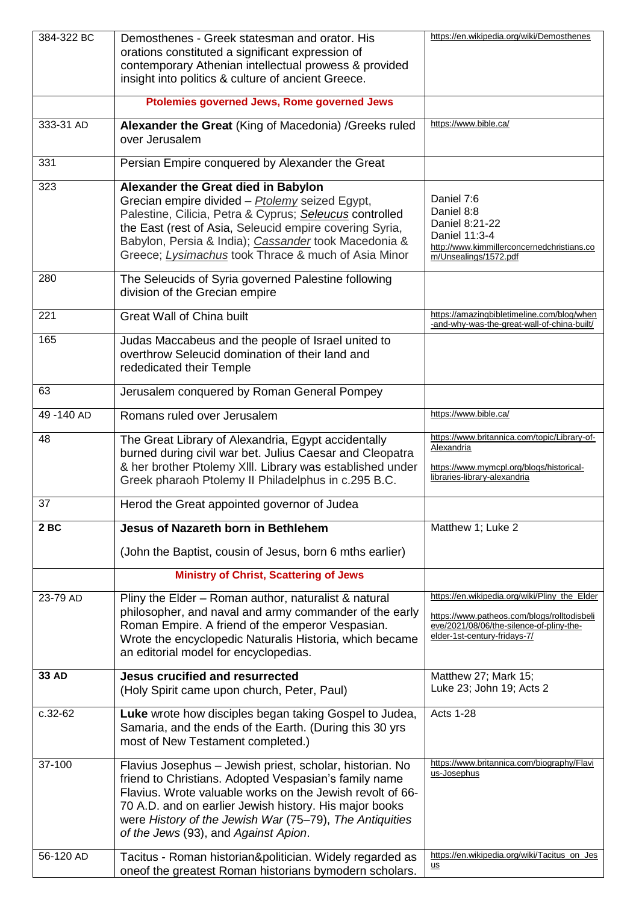| 384-322 BC   | Demosthenes - Greek statesman and orator. His<br>orations constituted a significant expression of<br>contemporary Athenian intellectual prowess & provided<br>insight into politics & culture of ancient Greece.                                                                                                                            | https://en.wikipedia.org/wiki/Demosthenes                                                                                                                                |
|--------------|---------------------------------------------------------------------------------------------------------------------------------------------------------------------------------------------------------------------------------------------------------------------------------------------------------------------------------------------|--------------------------------------------------------------------------------------------------------------------------------------------------------------------------|
|              | Ptolemies governed Jews, Rome governed Jews                                                                                                                                                                                                                                                                                                 |                                                                                                                                                                          |
| 333-31 AD    | Alexander the Great (King of Macedonia) /Greeks ruled<br>over Jerusalem                                                                                                                                                                                                                                                                     | https://www.bible.ca/                                                                                                                                                    |
| 331          | Persian Empire conquered by Alexander the Great                                                                                                                                                                                                                                                                                             |                                                                                                                                                                          |
| 323          | Alexander the Great died in Babylon<br>Grecian empire divided - Ptolemy seized Egypt,<br>Palestine, Cilicia, Petra & Cyprus; Seleucus controlled<br>the East (rest of Asia, Seleucid empire covering Syria,<br>Babylon, Persia & India); Cassander took Macedonia &<br>Greece; Lysimachus took Thrace & much of Asia Minor                  | Daniel 7:6<br>Daniel 8:8<br>Daniel 8:21-22<br>Daniel 11:3-4<br>http://www.kimmillerconcernedchristians.co<br>m/Unsealings/1572.pdf                                       |
| 280          | The Seleucids of Syria governed Palestine following<br>division of the Grecian empire                                                                                                                                                                                                                                                       |                                                                                                                                                                          |
| 221          | <b>Great Wall of China built</b>                                                                                                                                                                                                                                                                                                            | https://amazingbibletimeline.com/blog/when<br>-and-why-was-the-great-wall-of-china-built/                                                                                |
| 165          | Judas Maccabeus and the people of Israel united to<br>overthrow Seleucid domination of their land and<br>rededicated their Temple                                                                                                                                                                                                           |                                                                                                                                                                          |
| 63           | Jerusalem conquered by Roman General Pompey                                                                                                                                                                                                                                                                                                 |                                                                                                                                                                          |
| 49-140 AD    | Romans ruled over Jerusalem                                                                                                                                                                                                                                                                                                                 | https://www.bible.ca/                                                                                                                                                    |
| 48           | The Great Library of Alexandria, Egypt accidentally<br>burned during civil war bet. Julius Caesar and Cleopatra<br>& her brother Ptolemy XIII. Library was established under<br>Greek pharaoh Ptolemy II Philadelphus in c.295 B.C.                                                                                                         | https://www.britannica.com/topic/Library-of-<br>Alexandria<br>https://www.mymcpl.org/blogs/historical-<br>libraries-library-alexandria                                   |
| 37           | Herod the Great appointed governor of Judea                                                                                                                                                                                                                                                                                                 |                                                                                                                                                                          |
| 2BC          | <b>Jesus of Nazareth born in Bethlehem</b>                                                                                                                                                                                                                                                                                                  | Matthew 1; Luke 2                                                                                                                                                        |
|              | (John the Baptist, cousin of Jesus, born 6 mths earlier)                                                                                                                                                                                                                                                                                    |                                                                                                                                                                          |
|              | <b>Ministry of Christ, Scattering of Jews</b>                                                                                                                                                                                                                                                                                               |                                                                                                                                                                          |
| 23-79 AD     | Pliny the Elder - Roman author, naturalist & natural<br>philosopher, and naval and army commander of the early<br>Roman Empire. A friend of the emperor Vespasian.<br>Wrote the encyclopedic Naturalis Historia, which became<br>an editorial model for encyclopedias.                                                                      | https://en.wikipedia.org/wiki/Pliny_the_Elder<br>https://www.patheos.com/blogs/rolltodisbeli<br>eve/2021/08/06/the-silence-of-pliny-the-<br>elder-1st-century-fridays-7/ |
| <b>33 AD</b> | <b>Jesus crucified and resurrected</b><br>(Holy Spirit came upon church, Peter, Paul)                                                                                                                                                                                                                                                       | Matthew 27; Mark 15;<br>Luke 23; John 19; Acts 2                                                                                                                         |
| $c.32-62$    | Luke wrote how disciples began taking Gospel to Judea,<br>Samaria, and the ends of the Earth. (During this 30 yrs<br>most of New Testament completed.)                                                                                                                                                                                      | <b>Acts 1-28</b>                                                                                                                                                         |
| 37-100       | Flavius Josephus - Jewish priest, scholar, historian. No<br>friend to Christians. Adopted Vespasian's family name<br>Flavius. Wrote valuable works on the Jewish revolt of 66-<br>70 A.D. and on earlier Jewish history. His major books<br>were History of the Jewish War (75–79), The Antiquities<br>of the Jews (93), and Against Apion. | https://www.britannica.com/biography/Flavi<br>us-Josephus                                                                                                                |
| 56-120 AD    | Tacitus - Roman historian&politician. Widely regarded as<br>oneof the greatest Roman historians bymodern scholars.                                                                                                                                                                                                                          | https://en.wikipedia.org/wiki/Tacitus_on_Jes<br><u>us</u>                                                                                                                |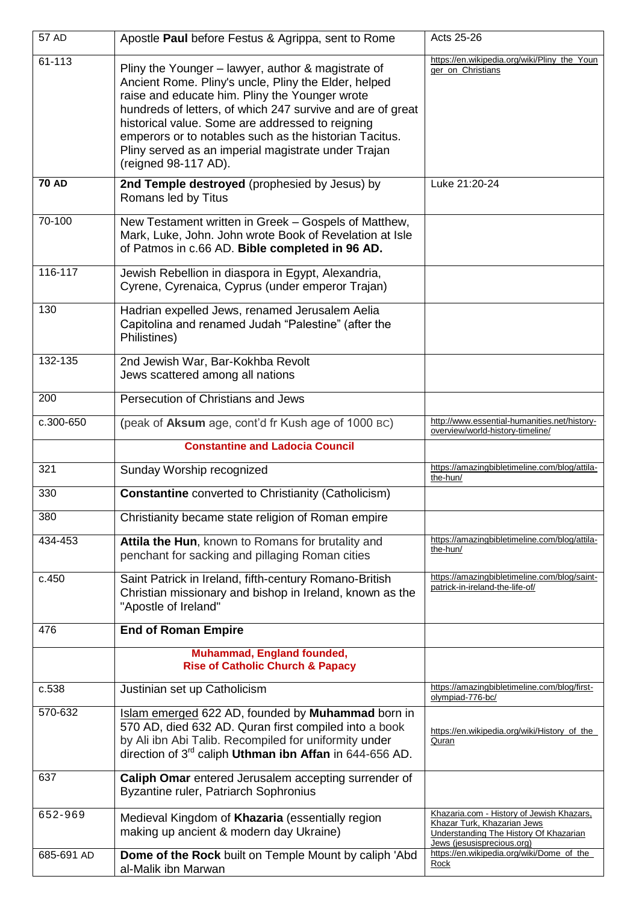| 57 AD        | Apostle Paul before Festus & Agrippa, sent to Rome                                                                                                                                                                                                                                                                                                                                                                      | Acts 25-26                                                                                                                                       |
|--------------|-------------------------------------------------------------------------------------------------------------------------------------------------------------------------------------------------------------------------------------------------------------------------------------------------------------------------------------------------------------------------------------------------------------------------|--------------------------------------------------------------------------------------------------------------------------------------------------|
| 61-113       | Pliny the Younger - lawyer, author & magistrate of<br>Ancient Rome. Pliny's uncle, Pliny the Elder, helped<br>raise and educate him. Pliny the Younger wrote<br>hundreds of letters, of which 247 survive and are of great<br>historical value. Some are addressed to reigning<br>emperors or to notables such as the historian Tacitus.<br>Pliny served as an imperial magistrate under Trajan<br>(reigned 98-117 AD). | https://en.wikipedia.org/wiki/Pliny_the_Youn<br>ger_on_Christians                                                                                |
| <b>70 AD</b> | 2nd Temple destroyed (prophesied by Jesus) by<br>Romans led by Titus                                                                                                                                                                                                                                                                                                                                                    | Luke 21:20-24                                                                                                                                    |
| 70-100       | New Testament written in Greek - Gospels of Matthew,<br>Mark, Luke, John. John wrote Book of Revelation at Isle<br>of Patmos in c.66 AD. Bible completed in 96 AD.                                                                                                                                                                                                                                                      |                                                                                                                                                  |
| 116-117      | Jewish Rebellion in diaspora in Egypt, Alexandria,<br>Cyrene, Cyrenaica, Cyprus (under emperor Trajan)                                                                                                                                                                                                                                                                                                                  |                                                                                                                                                  |
| 130          | Hadrian expelled Jews, renamed Jerusalem Aelia<br>Capitolina and renamed Judah "Palestine" (after the<br>Philistines)                                                                                                                                                                                                                                                                                                   |                                                                                                                                                  |
| 132-135      | 2nd Jewish War, Bar-Kokhba Revolt<br>Jews scattered among all nations                                                                                                                                                                                                                                                                                                                                                   |                                                                                                                                                  |
| 200          | Persecution of Christians and Jews                                                                                                                                                                                                                                                                                                                                                                                      |                                                                                                                                                  |
| c.300-650    | (peak of Aksum age, cont'd fr Kush age of 1000 BC)                                                                                                                                                                                                                                                                                                                                                                      | http://www.essential-humanities.net/history-<br>overview/world-history-timeline/                                                                 |
|              | <b>Constantine and Ladocia Council</b>                                                                                                                                                                                                                                                                                                                                                                                  |                                                                                                                                                  |
| 321          | Sunday Worship recognized                                                                                                                                                                                                                                                                                                                                                                                               | https://amazingbibletimeline.com/blog/attila-<br>the-hun/                                                                                        |
| 330          | <b>Constantine</b> converted to Christianity (Catholicism)                                                                                                                                                                                                                                                                                                                                                              |                                                                                                                                                  |
| 380          | Christianity became state religion of Roman empire                                                                                                                                                                                                                                                                                                                                                                      |                                                                                                                                                  |
| 434-453      | Attila the Hun, known to Romans for brutality and<br>penchant for sacking and pillaging Roman cities                                                                                                                                                                                                                                                                                                                    | https://amazingbibletimeline.com/blog/attila-<br>the-hun/                                                                                        |
| c.450        | Saint Patrick in Ireland, fifth-century Romano-British<br>Christian missionary and bishop in Ireland, known as the<br>"Apostle of Ireland"                                                                                                                                                                                                                                                                              | https://amazingbibletimeline.com/blog/saint-<br>patrick-in-ireland-the-life-of/                                                                  |
| 476          | <b>End of Roman Empire</b>                                                                                                                                                                                                                                                                                                                                                                                              |                                                                                                                                                  |
|              | Muhammad, England founded,<br><b>Rise of Catholic Church &amp; Papacy</b>                                                                                                                                                                                                                                                                                                                                               |                                                                                                                                                  |
| c.538        | Justinian set up Catholicism                                                                                                                                                                                                                                                                                                                                                                                            | https://amazingbibletimeline.com/blog/first-<br>olympiad-776-bc/                                                                                 |
| 570-632      | Islam emerged 622 AD, founded by Muhammad born in<br>570 AD, died 632 AD. Quran first compiled into a book<br>by Ali ibn Abi Talib. Recompiled for uniformity under<br>direction of 3 <sup>rd</sup> caliph Uthman ibn Affan in 644-656 AD.                                                                                                                                                                              | https://en.wikipedia.org/wiki/History_of_the_<br>Quran                                                                                           |
| 637          | Caliph Omar entered Jerusalem accepting surrender of<br>Byzantine ruler, Patriarch Sophronius                                                                                                                                                                                                                                                                                                                           |                                                                                                                                                  |
| 652-969      | Medieval Kingdom of Khazaria (essentially region<br>making up ancient & modern day Ukraine)                                                                                                                                                                                                                                                                                                                             | Khazaria.com - History of Jewish Khazars,<br>Khazar Turk, Khazarian Jews<br>Understanding The History Of Khazarian<br>Jews (jesusisprecious.org) |
| 685-691 AD   | Dome of the Rock built on Temple Mount by caliph 'Abd<br>al-Malik ibn Marwan                                                                                                                                                                                                                                                                                                                                            | https://en.wikipedia.org/wiki/Dome_of_the<br>Rock                                                                                                |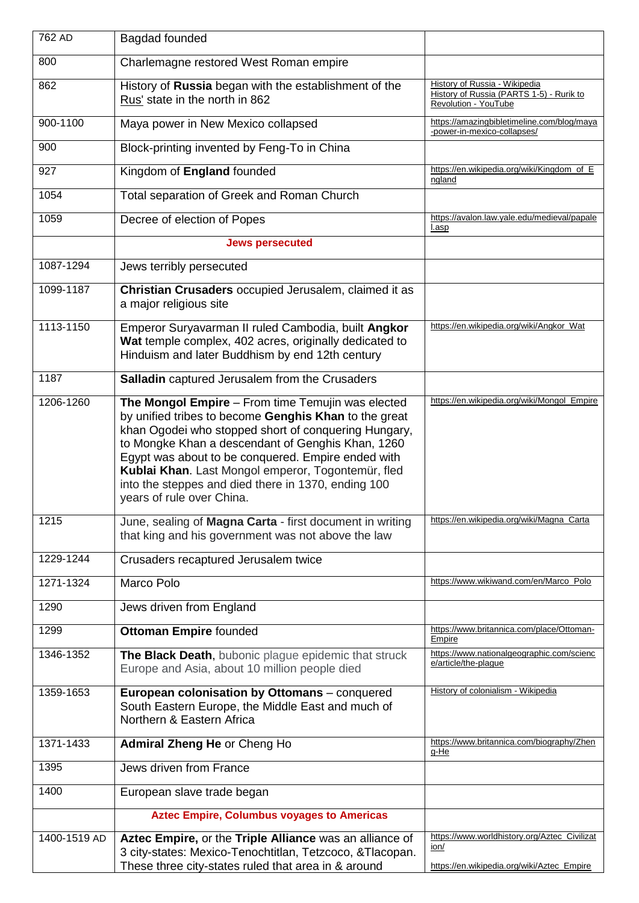| 762 AD       | Bagdad founded                                                                                                                                                                                                                                                                                                                                                                                                          |                                                                                                    |
|--------------|-------------------------------------------------------------------------------------------------------------------------------------------------------------------------------------------------------------------------------------------------------------------------------------------------------------------------------------------------------------------------------------------------------------------------|----------------------------------------------------------------------------------------------------|
| 800          | Charlemagne restored West Roman empire                                                                                                                                                                                                                                                                                                                                                                                  |                                                                                                    |
| 862          | History of Russia began with the establishment of the<br>Rus' state in the north in 862                                                                                                                                                                                                                                                                                                                                 | History of Russia - Wikipedia<br>History of Russia (PARTS 1-5) - Rurik to<br>Revolution - YouTube  |
| 900-1100     | Maya power in New Mexico collapsed                                                                                                                                                                                                                                                                                                                                                                                      | https://amazingbibletimeline.com/blog/maya<br>-power-in-mexico-collapses/                          |
| 900          | Block-printing invented by Feng-To in China                                                                                                                                                                                                                                                                                                                                                                             |                                                                                                    |
| 927          | Kingdom of England founded                                                                                                                                                                                                                                                                                                                                                                                              | https://en.wikipedia.org/wiki/Kingdom_of_E<br>ngland                                               |
| 1054         | Total separation of Greek and Roman Church                                                                                                                                                                                                                                                                                                                                                                              |                                                                                                    |
| 1059         | Decree of election of Popes                                                                                                                                                                                                                                                                                                                                                                                             | https://avalon.law.yale.edu/medieval/papale<br>l.asp                                               |
|              | <b>Jews persecuted</b>                                                                                                                                                                                                                                                                                                                                                                                                  |                                                                                                    |
| 1087-1294    | Jews terribly persecuted                                                                                                                                                                                                                                                                                                                                                                                                |                                                                                                    |
| 1099-1187    | Christian Crusaders occupied Jerusalem, claimed it as<br>a major religious site                                                                                                                                                                                                                                                                                                                                         |                                                                                                    |
| 1113-1150    | Emperor Suryavarman II ruled Cambodia, built Angkor<br>Wat temple complex, 402 acres, originally dedicated to<br>Hinduism and later Buddhism by end 12th century                                                                                                                                                                                                                                                        | https://en.wikipedia.org/wiki/Angkor_Wat                                                           |
| 1187         | Salladin captured Jerusalem from the Crusaders                                                                                                                                                                                                                                                                                                                                                                          |                                                                                                    |
| 1206-1260    | The Mongol Empire - From time Temujin was elected<br>by unified tribes to become Genghis Khan to the great<br>khan Ogodei who stopped short of conquering Hungary,<br>to Mongke Khan a descendant of Genghis Khan, 1260<br>Egypt was about to be conquered. Empire ended with<br>Kublai Khan. Last Mongol emperor, Togontemür, fled<br>into the steppes and died there in 1370, ending 100<br>years of rule over China. | https://en.wikipedia.org/wiki/Mongol_Empire                                                        |
| 1215         | June, sealing of Magna Carta - first document in writing<br>that king and his government was not above the law                                                                                                                                                                                                                                                                                                          | https://en.wikipedia.org/wiki/Magna_Carta                                                          |
| 1229-1244    | Crusaders recaptured Jerusalem twice                                                                                                                                                                                                                                                                                                                                                                                    |                                                                                                    |
| 1271-1324    | Marco Polo                                                                                                                                                                                                                                                                                                                                                                                                              | https://www.wikiwand.com/en/Marco_Polo                                                             |
| 1290         | Jews driven from England                                                                                                                                                                                                                                                                                                                                                                                                |                                                                                                    |
| 1299         | <b>Ottoman Empire founded</b>                                                                                                                                                                                                                                                                                                                                                                                           | https://www.britannica.com/place/Ottoman-<br>Empire                                                |
| 1346-1352    | The Black Death, bubonic plague epidemic that struck<br>Europe and Asia, about 10 million people died                                                                                                                                                                                                                                                                                                                   | https://www.nationalgeographic.com/scienc<br>e/article/the-plague                                  |
| 1359-1653    | European colonisation by Ottomans - conquered<br>South Eastern Europe, the Middle East and much of<br>Northern & Eastern Africa                                                                                                                                                                                                                                                                                         | History of colonialism - Wikipedia                                                                 |
| 1371-1433    | Admiral Zheng He or Cheng Ho                                                                                                                                                                                                                                                                                                                                                                                            | https://www.britannica.com/biography/Zhen<br>g-He                                                  |
| 1395         | Jews driven from France                                                                                                                                                                                                                                                                                                                                                                                                 |                                                                                                    |
| 1400         | European slave trade began                                                                                                                                                                                                                                                                                                                                                                                              |                                                                                                    |
|              | <b>Aztec Empire, Columbus voyages to Americas</b>                                                                                                                                                                                                                                                                                                                                                                       |                                                                                                    |
| 1400-1519 AD | Aztec Empire, or the Triple Alliance was an alliance of<br>3 city-states: Mexico-Tenochtitlan, Tetzcoco, &Tlacopan.<br>These three city-states ruled that area in & around                                                                                                                                                                                                                                              | https://www.worldhistory.org/Aztec_Civilizat<br>ion/<br>https://en.wikipedia.org/wiki/Aztec_Empire |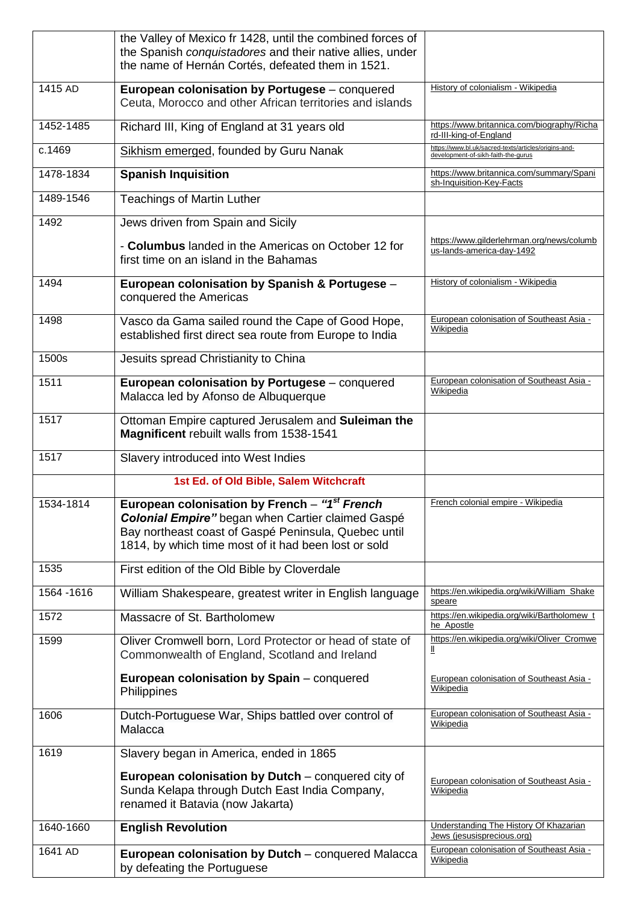|             | the Valley of Mexico fr 1428, until the combined forces of<br>the Spanish conquistadores and their native allies, under<br>the name of Hernán Cortés, defeated them in 1521.                                              |                                                                                             |
|-------------|---------------------------------------------------------------------------------------------------------------------------------------------------------------------------------------------------------------------------|---------------------------------------------------------------------------------------------|
| 1415 AD     | European colonisation by Portugese - conquered<br>Ceuta, Morocco and other African territories and islands                                                                                                                | History of colonialism - Wikipedia                                                          |
| 1452-1485   | Richard III, King of England at 31 years old                                                                                                                                                                              | https://www.britannica.com/biography/Richa<br>rd-III-king-of-England                        |
| c.1469      | Sikhism emerged, founded by Guru Nanak                                                                                                                                                                                    | https://www.bl.uk/sacred-texts/articles/origins-and-<br>development-of-sikh-faith-the-gurus |
| 1478-1834   | <b>Spanish Inquisition</b>                                                                                                                                                                                                | https://www.britannica.com/summary/Spani<br>sh-Inquisition-Key-Facts                        |
| 1489-1546   | <b>Teachings of Martin Luther</b>                                                                                                                                                                                         |                                                                                             |
| 1492        | Jews driven from Spain and Sicily                                                                                                                                                                                         |                                                                                             |
|             | - Columbus landed in the Americas on October 12 for<br>first time on an island in the Bahamas                                                                                                                             | https://www.gilderlehrman.org/news/columb<br>us-lands-america-day-1492                      |
| 1494        | European colonisation by Spanish & Portugese -<br>conquered the Americas                                                                                                                                                  | History of colonialism - Wikipedia                                                          |
| 1498        | Vasco da Gama sailed round the Cape of Good Hope,<br>established first direct sea route from Europe to India                                                                                                              | European colonisation of Southeast Asia -<br>Wikipedia                                      |
| 1500s       | Jesuits spread Christianity to China                                                                                                                                                                                      |                                                                                             |
| 1511        | European colonisation by Portugese - conquered<br>Malacca led by Afonso de Albuquerque                                                                                                                                    | European colonisation of Southeast Asia -<br>Wikipedia                                      |
| 1517        | Ottoman Empire captured Jerusalem and Suleiman the<br>Magnificent rebuilt walls from 1538-1541                                                                                                                            |                                                                                             |
| 1517        | Slavery introduced into West Indies                                                                                                                                                                                       |                                                                                             |
|             | 1st Ed. of Old Bible, Salem Witchcraft                                                                                                                                                                                    |                                                                                             |
| 1534-1814   | European colonisation by French - "1st French<br><b>Colonial Empire"</b> began when Cartier claimed Gaspé<br>Bay northeast coast of Gaspé Peninsula, Quebec until<br>1814, by which time most of it had been lost or sold | French colonial empire - Wikipedia                                                          |
| 1535        | First edition of the Old Bible by Cloverdale                                                                                                                                                                              |                                                                                             |
| 1564 - 1616 | William Shakespeare, greatest writer in English language                                                                                                                                                                  | https://en.wikipedia.org/wiki/William_Shake<br>speare                                       |
| 1572        | Massacre of St. Bartholomew                                                                                                                                                                                               | https://en.wikipedia.org/wiki/Bartholomew_t<br>he Apostle                                   |
| 1599        | Oliver Cromwell born, Lord Protector or head of state of<br>Commonwealth of England, Scotland and Ireland                                                                                                                 | https://en.wikipedia.org/wiki/Oliver_Cromwe<br>Ш                                            |
|             | European colonisation by Spain – conquered<br>Philippines                                                                                                                                                                 | European colonisation of Southeast Asia -<br>Wikipedia                                      |
| 1606        | Dutch-Portuguese War, Ships battled over control of<br>Malacca                                                                                                                                                            | European colonisation of Southeast Asia -<br>Wikipedia                                      |
| 1619        | Slavery began in America, ended in 1865                                                                                                                                                                                   |                                                                                             |
|             | <b>European colonisation by Dutch</b> – conquered city of<br>Sunda Kelapa through Dutch East India Company,<br>renamed it Batavia (now Jakarta)                                                                           | European colonisation of Southeast Asia -<br>Wikipedia                                      |
| 1640-1660   | <b>English Revolution</b>                                                                                                                                                                                                 | Understanding The History Of Khazarian<br>Jews (jesusisprecious.org)                        |
| 1641 AD     | European colonisation by Dutch - conquered Malacca<br>by defeating the Portuguese                                                                                                                                         | European colonisation of Southeast Asia -<br>Wikipedia                                      |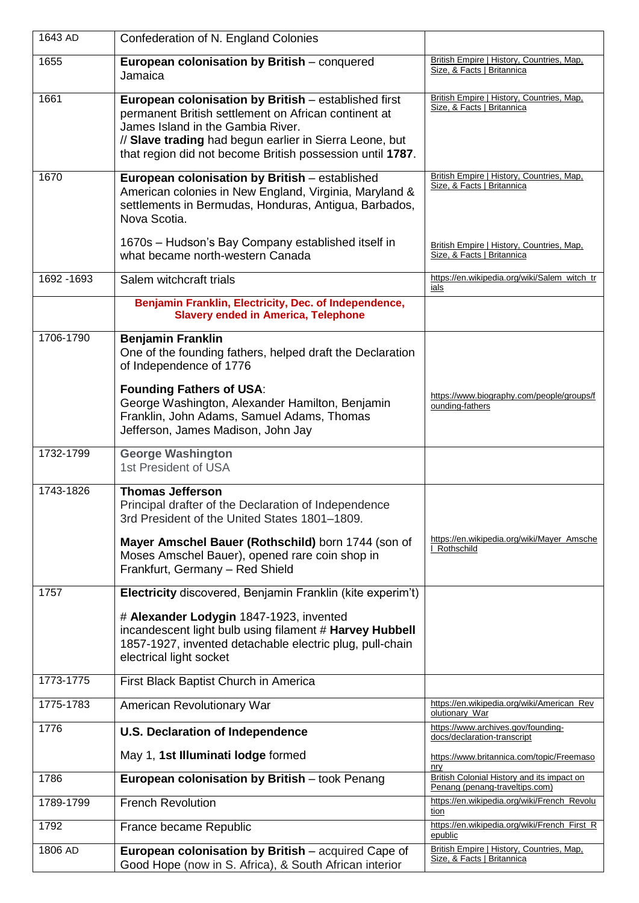| 1643 AD     | Confederation of N. England Colonies                                                                                                                                                                                                                                      |                                                                              |
|-------------|---------------------------------------------------------------------------------------------------------------------------------------------------------------------------------------------------------------------------------------------------------------------------|------------------------------------------------------------------------------|
| 1655        | European colonisation by British - conquered<br>Jamaica                                                                                                                                                                                                                   | British Empire   History, Countries, Map.<br>Size, & Facts   Britannica      |
| 1661        | European colonisation by British - established first<br>permanent British settlement on African continent at<br>James Island in the Gambia River.<br>// Slave trading had begun earlier in Sierra Leone, but<br>that region did not become British possession until 1787. | British Empire   History, Countries, Map,<br>Size, & Facts   Britannica      |
| 1670        | European colonisation by British - established<br>American colonies in New England, Virginia, Maryland &<br>settlements in Bermudas, Honduras, Antigua, Barbados,<br>Nova Scotia.                                                                                         | British Empire   History, Countries, Map,<br>Size, & Facts   Britannica      |
|             | 1670s - Hudson's Bay Company established itself in<br>what became north-western Canada                                                                                                                                                                                    | British Empire   History, Countries, Map.<br>Size, & Facts   Britannica      |
| 1692 - 1693 | Salem witchcraft trials                                                                                                                                                                                                                                                   | https://en.wikipedia.org/wiki/Salem_witch_tr<br>ials                         |
|             | Benjamin Franklin, Electricity, Dec. of Independence,<br><b>Slavery ended in America, Telephone</b>                                                                                                                                                                       |                                                                              |
| 1706-1790   | <b>Benjamin Franklin</b><br>One of the founding fathers, helped draft the Declaration<br>of Independence of 1776                                                                                                                                                          |                                                                              |
|             | <b>Founding Fathers of USA:</b><br>George Washington, Alexander Hamilton, Benjamin<br>Franklin, John Adams, Samuel Adams, Thomas<br>Jefferson, James Madison, John Jay                                                                                                    | https://www.biography.com/people/groups/f<br>ounding-fathers                 |
| 1732-1799   | <b>George Washington</b><br>1st President of USA                                                                                                                                                                                                                          |                                                                              |
| 1743-1826   | <b>Thomas Jefferson</b><br>Principal drafter of the Declaration of Independence<br>3rd President of the United States 1801-1809.                                                                                                                                          |                                                                              |
|             | Mayer Amschel Bauer (Rothschild) born 1744 (son of<br>Moses Amschel Bauer), opened rare coin shop in<br>Frankfurt, Germany - Red Shield                                                                                                                                   | https://en.wikipedia.org/wiki/Mayer Amsche<br>Rothschild                     |
| 1757        | Electricity discovered, Benjamin Franklin (kite experim't)                                                                                                                                                                                                                |                                                                              |
|             | # Alexander Lodygin 1847-1923, invented<br>incandescent light bulb using filament # Harvey Hubbell<br>1857-1927, invented detachable electric plug, pull-chain<br>electrical light socket                                                                                 |                                                                              |
| 1773-1775   | First Black Baptist Church in America                                                                                                                                                                                                                                     |                                                                              |
| 1775-1783   | American Revolutionary War                                                                                                                                                                                                                                                | https://en.wikipedia.org/wiki/American_Rev<br>olutionary_War                 |
| 1776        | <b>U.S. Declaration of Independence</b>                                                                                                                                                                                                                                   | https://www.archives.gov/founding-<br>docs/declaration-transcript            |
|             | May 1, 1st Illuminati lodge formed                                                                                                                                                                                                                                        | https://www.britannica.com/topic/Freemaso<br>nry                             |
| 1786        | European colonisation by British - took Penang                                                                                                                                                                                                                            | British Colonial History and its impact on<br>Penang (penang-traveltips.com) |
| 1789-1799   | <b>French Revolution</b>                                                                                                                                                                                                                                                  | https://en.wikipedia.org/wiki/French_Revolu<br>tion                          |
| 1792        | France became Republic                                                                                                                                                                                                                                                    | https://en.wikipedia.org/wiki/French_First_R<br>epublic                      |
| 1806 AD     | European colonisation by British - acquired Cape of<br>Good Hope (now in S. Africa), & South African interior                                                                                                                                                             | British Empire   History, Countries, Map.<br>Size, & Facts   Britannica      |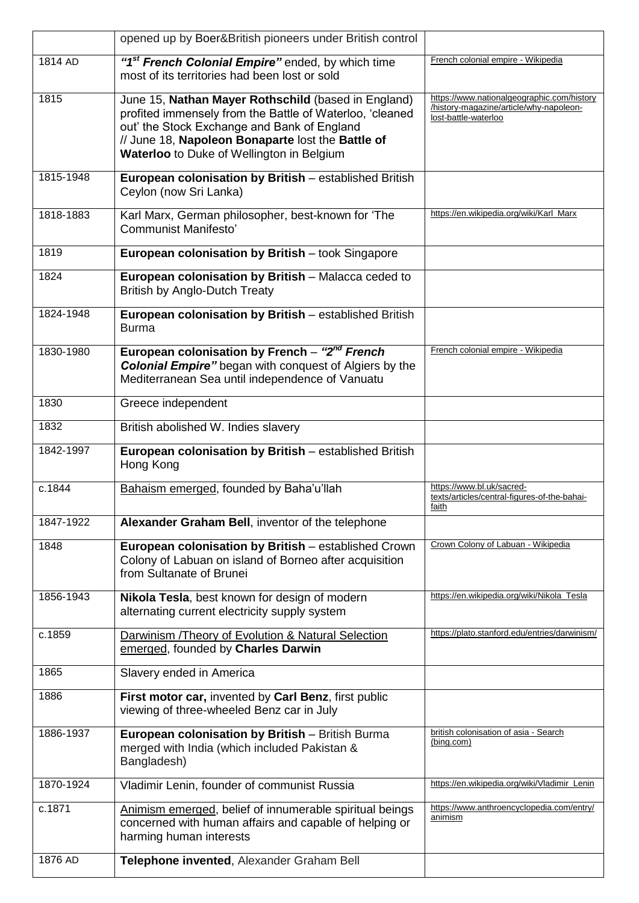|           | opened up by Boer&British pioneers under British control                                                                                                                                                                                                         |                                                                                                               |
|-----------|------------------------------------------------------------------------------------------------------------------------------------------------------------------------------------------------------------------------------------------------------------------|---------------------------------------------------------------------------------------------------------------|
| 1814 AD   | "1 <sup>st</sup> French Colonial Empire" ended, by which time<br>most of its territories had been lost or sold                                                                                                                                                   | French colonial empire - Wikipedia                                                                            |
| 1815      | June 15, Nathan Mayer Rothschild (based in England)<br>profited immensely from the Battle of Waterloo, 'cleaned<br>out' the Stock Exchange and Bank of England<br>// June 18, Napoleon Bonaparte lost the Battle of<br>Waterloo to Duke of Wellington in Belgium | https://www.nationalgeographic.com/history<br>/history-magazine/article/why-napoleon-<br>lost-battle-waterloo |
| 1815-1948 | European colonisation by British - established British<br>Ceylon (now Sri Lanka)                                                                                                                                                                                 |                                                                                                               |
| 1818-1883 | Karl Marx, German philosopher, best-known for 'The<br><b>Communist Manifesto'</b>                                                                                                                                                                                | https://en.wikipedia.org/wiki/Karl_Marx                                                                       |
| 1819      | European colonisation by British - took Singapore                                                                                                                                                                                                                |                                                                                                               |
| 1824      | European colonisation by British - Malacca ceded to<br><b>British by Anglo-Dutch Treaty</b>                                                                                                                                                                      |                                                                                                               |
| 1824-1948 | European colonisation by British - established British<br><b>Burma</b>                                                                                                                                                                                           |                                                                                                               |
| 1830-1980 | European colonisation by French - "2 <sup>nd</sup> French<br><b>Colonial Empire"</b> began with conquest of Algiers by the<br>Mediterranean Sea until independence of Vanuatu                                                                                    | French colonial empire - Wikipedia                                                                            |
| 1830      | Greece independent                                                                                                                                                                                                                                               |                                                                                                               |
| 1832      | British abolished W. Indies slavery                                                                                                                                                                                                                              |                                                                                                               |
| 1842-1997 | European colonisation by British - established British<br>Hong Kong                                                                                                                                                                                              |                                                                                                               |
| c.1844    | Bahaism emerged, founded by Baha'u'llah                                                                                                                                                                                                                          | https://www.bl.uk/sacred-<br>texts/articles/central-figures-of-the-bahai-<br>faith                            |
| 1847-1922 | Alexander Graham Bell, inventor of the telephone                                                                                                                                                                                                                 |                                                                                                               |
| 1848      | European colonisation by British - established Crown<br>Colony of Labuan on island of Borneo after acquisition<br>from Sultanate of Brunei                                                                                                                       | Crown Colony of Labuan - Wikipedia                                                                            |
| 1856-1943 | Nikola Tesla, best known for design of modern<br>alternating current electricity supply system                                                                                                                                                                   | https://en.wikipedia.org/wiki/Nikola_Tesla                                                                    |
| c.1859    | Darwinism /Theory of Evolution & Natural Selection<br>emerged, founded by Charles Darwin                                                                                                                                                                         | https://plato.stanford.edu/entries/darwinism/                                                                 |
| 1865      | Slavery ended in America                                                                                                                                                                                                                                         |                                                                                                               |
| 1886      | First motor car, invented by Carl Benz, first public<br>viewing of three-wheeled Benz car in July                                                                                                                                                                |                                                                                                               |
| 1886-1937 | European colonisation by British - British Burma<br>merged with India (which included Pakistan &<br>Bangladesh)                                                                                                                                                  | british colonisation of asia - Search<br>(bing.com)                                                           |
| 1870-1924 | Vladimir Lenin, founder of communist Russia                                                                                                                                                                                                                      | https://en.wikipedia.org/wiki/Vladimir_Lenin                                                                  |
| c.1871    | Animism emerged, belief of innumerable spiritual beings<br>concerned with human affairs and capable of helping or<br>harming human interests                                                                                                                     | https://www.anthroencyclopedia.com/entry/<br>animism                                                          |
| 1876 AD   | Telephone invented, Alexander Graham Bell                                                                                                                                                                                                                        |                                                                                                               |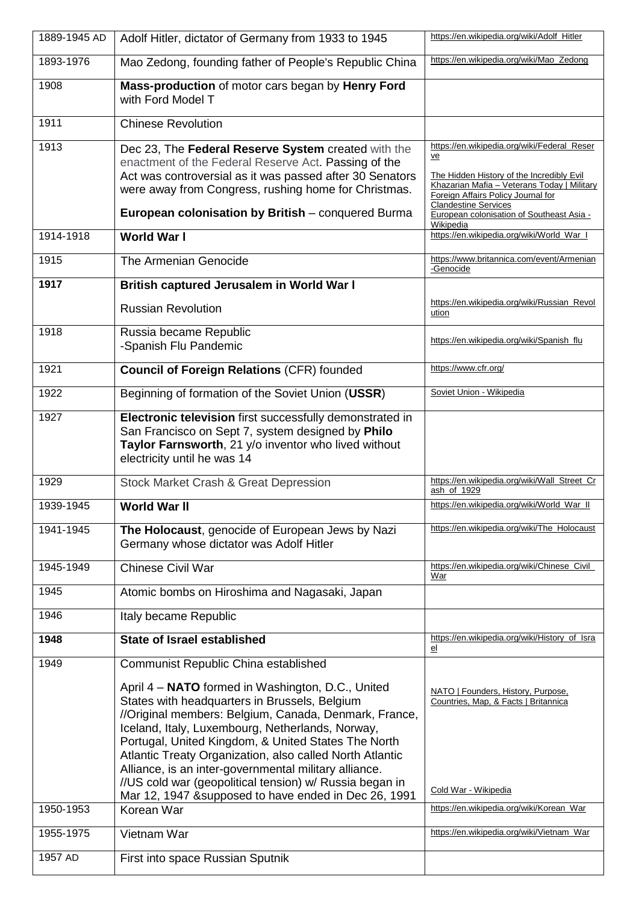| 1889-1945 AD      | Adolf Hitler, dictator of Germany from 1933 to 1945                                                                                                                                                                                                                                                                                                                                                                                                    | https://en.wikipedia.org/wiki/Adolf_Hitler                                                                                                                                                                                                                                   |
|-------------------|--------------------------------------------------------------------------------------------------------------------------------------------------------------------------------------------------------------------------------------------------------------------------------------------------------------------------------------------------------------------------------------------------------------------------------------------------------|------------------------------------------------------------------------------------------------------------------------------------------------------------------------------------------------------------------------------------------------------------------------------|
| 1893-1976         | Mao Zedong, founding father of People's Republic China                                                                                                                                                                                                                                                                                                                                                                                                 | https://en.wikipedia.org/wiki/Mao_Zedong                                                                                                                                                                                                                                     |
| 1908              | Mass-production of motor cars began by Henry Ford<br>with Ford Model T                                                                                                                                                                                                                                                                                                                                                                                 |                                                                                                                                                                                                                                                                              |
| 1911              | <b>Chinese Revolution</b>                                                                                                                                                                                                                                                                                                                                                                                                                              |                                                                                                                                                                                                                                                                              |
| 1913              | Dec 23, The Federal Reserve System created with the<br>enactment of the Federal Reserve Act. Passing of the<br>Act was controversial as it was passed after 30 Senators<br>were away from Congress, rushing home for Christmas.<br>European colonisation by British - conquered Burma                                                                                                                                                                  | https://en.wikipedia.org/wiki/Federal_Reser<br>ve<br>The Hidden History of the Incredibly Evil<br>Khazarian Mafia - Veterans Today   Military<br>Foreign Affairs Policy Journal for<br><b>Clandestine Services</b><br>European colonisation of Southeast Asia -<br>Wikipedia |
| 1914-1918         | <b>World War I</b>                                                                                                                                                                                                                                                                                                                                                                                                                                     | https://en.wikipedia.org/wiki/World_War_I                                                                                                                                                                                                                                    |
| 1915              | The Armenian Genocide                                                                                                                                                                                                                                                                                                                                                                                                                                  | https://www.britannica.com/event/Armenian<br>-Genocide                                                                                                                                                                                                                       |
| 1917              | British captured Jerusalem in World War I                                                                                                                                                                                                                                                                                                                                                                                                              |                                                                                                                                                                                                                                                                              |
|                   | <b>Russian Revolution</b>                                                                                                                                                                                                                                                                                                                                                                                                                              | https://en.wikipedia.org/wiki/Russian_Revol<br>ution                                                                                                                                                                                                                         |
| 1918              | Russia became Republic<br>-Spanish Flu Pandemic                                                                                                                                                                                                                                                                                                                                                                                                        | https://en.wikipedia.org/wiki/Spanish_flu                                                                                                                                                                                                                                    |
| 1921              | <b>Council of Foreign Relations (CFR) founded</b>                                                                                                                                                                                                                                                                                                                                                                                                      | https://www.cfr.org/                                                                                                                                                                                                                                                         |
| 1922              | Beginning of formation of the Soviet Union (USSR)                                                                                                                                                                                                                                                                                                                                                                                                      | Soviet Union - Wikipedia                                                                                                                                                                                                                                                     |
| 1927              | Electronic television first successfully demonstrated in<br>San Francisco on Sept 7, system designed by Philo<br>Taylor Farnsworth, 21 y/o inventor who lived without<br>electricity until he was 14                                                                                                                                                                                                                                                   |                                                                                                                                                                                                                                                                              |
| 1929              | <b>Stock Market Crash &amp; Great Depression</b>                                                                                                                                                                                                                                                                                                                                                                                                       | https://en.wikipedia.org/wiki/Wall_Street_Cr<br>ash_of_1929                                                                                                                                                                                                                  |
| 1939-1945         | <b>World War II</b>                                                                                                                                                                                                                                                                                                                                                                                                                                    | https://en.wikipedia.org/wiki/World_War_II                                                                                                                                                                                                                                   |
| 1941-1945         | The Holocaust, genocide of European Jews by Nazi<br>Germany whose dictator was Adolf Hitler                                                                                                                                                                                                                                                                                                                                                            | https://en.wikipedia.org/wiki/The_Holocaust                                                                                                                                                                                                                                  |
| 1945-1949         | Chinese Civil War                                                                                                                                                                                                                                                                                                                                                                                                                                      | https://en.wikipedia.org/wiki/Chinese_Civil_<br>War                                                                                                                                                                                                                          |
| 1945              | Atomic bombs on Hiroshima and Nagasaki, Japan                                                                                                                                                                                                                                                                                                                                                                                                          |                                                                                                                                                                                                                                                                              |
| 1946              | Italy became Republic                                                                                                                                                                                                                                                                                                                                                                                                                                  |                                                                                                                                                                                                                                                                              |
| $19\overline{48}$ | <b>State of Israel established</b>                                                                                                                                                                                                                                                                                                                                                                                                                     | https://en.wikipedia.org/wiki/History_of_Isra<br>el                                                                                                                                                                                                                          |
| 1949              | Communist Republic China established                                                                                                                                                                                                                                                                                                                                                                                                                   |                                                                                                                                                                                                                                                                              |
|                   | April 4 - NATO formed in Washington, D.C., United<br>States with headquarters in Brussels, Belgium<br>//Original members: Belgium, Canada, Denmark, France,<br>Iceland, Italy, Luxembourg, Netherlands, Norway,<br>Portugal, United Kingdom, & United States The North<br>Atlantic Treaty Organization, also called North Atlantic<br>Alliance, is an inter-governmental military alliance.<br>//US cold war (geopolitical tension) w/ Russia began in | NATO   Founders, History, Purpose,<br>Countries, Map, & Facts   Britannica<br>Cold War - Wikipedia                                                                                                                                                                           |
| 1950-1953         | Mar 12, 1947 & supposed to have ended in Dec 26, 1991<br>Korean War                                                                                                                                                                                                                                                                                                                                                                                    | https://en.wikipedia.org/wiki/Korean_War                                                                                                                                                                                                                                     |
| 1955-1975         | Vietnam War                                                                                                                                                                                                                                                                                                                                                                                                                                            | https://en.wikipedia.org/wiki/Vietnam_War                                                                                                                                                                                                                                    |
| 1957 AD           | First into space Russian Sputnik                                                                                                                                                                                                                                                                                                                                                                                                                       |                                                                                                                                                                                                                                                                              |
|                   |                                                                                                                                                                                                                                                                                                                                                                                                                                                        |                                                                                                                                                                                                                                                                              |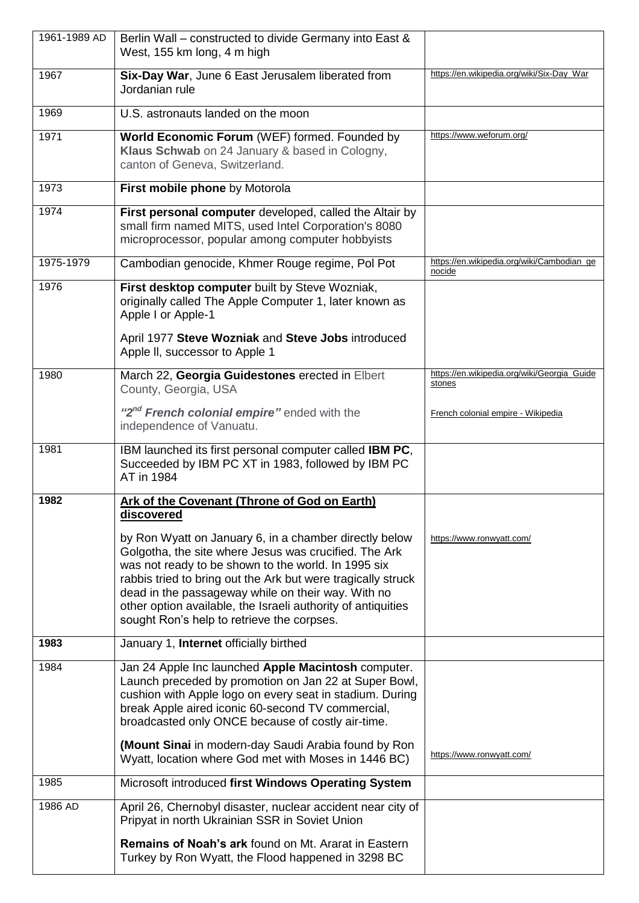| 1961-1989 AD | Berlin Wall - constructed to divide Germany into East &<br>West, 155 km long, 4 m high                                                                                                                                                                                                                                                                                                                     |                                                       |
|--------------|------------------------------------------------------------------------------------------------------------------------------------------------------------------------------------------------------------------------------------------------------------------------------------------------------------------------------------------------------------------------------------------------------------|-------------------------------------------------------|
| 1967         | Six-Day War, June 6 East Jerusalem liberated from<br>Jordanian rule                                                                                                                                                                                                                                                                                                                                        | https://en.wikipedia.org/wiki/Six-Day_War             |
| 1969         | U.S. astronauts landed on the moon                                                                                                                                                                                                                                                                                                                                                                         |                                                       |
| 1971         | World Economic Forum (WEF) formed. Founded by<br>Klaus Schwab on 24 January & based in Cologny,<br>canton of Geneva, Switzerland.                                                                                                                                                                                                                                                                          | https://www.weforum.org/                              |
| 1973         | First mobile phone by Motorola                                                                                                                                                                                                                                                                                                                                                                             |                                                       |
| 1974         | First personal computer developed, called the Altair by<br>small firm named MITS, used Intel Corporation's 8080<br>microprocessor, popular among computer hobbyists                                                                                                                                                                                                                                        |                                                       |
| 1975-1979    | Cambodian genocide, Khmer Rouge regime, Pol Pot                                                                                                                                                                                                                                                                                                                                                            | https://en.wikipedia.org/wiki/Cambodian_ge<br>nocide  |
| 1976         | First desktop computer built by Steve Wozniak,<br>originally called The Apple Computer 1, later known as<br>Apple I or Apple-1                                                                                                                                                                                                                                                                             |                                                       |
|              | April 1977 Steve Wozniak and Steve Jobs introduced<br>Apple II, successor to Apple 1                                                                                                                                                                                                                                                                                                                       |                                                       |
| 1980         | March 22, Georgia Guidestones erected in Elbert<br>County, Georgia, USA                                                                                                                                                                                                                                                                                                                                    | https://en.wikipedia.org/wiki/Georgia_Guide<br>stones |
|              | "2 <sup>nd</sup> French colonial empire" ended with the<br>independence of Vanuatu.                                                                                                                                                                                                                                                                                                                        | French colonial empire - Wikipedia                    |
| 1981         | IBM launched its first personal computer called IBM PC,<br>Succeeded by IBM PC XT in 1983, followed by IBM PC<br>AT in 1984                                                                                                                                                                                                                                                                                |                                                       |
| 1982         | Ark of the Covenant (Throne of God on Earth)<br><u>discovered</u>                                                                                                                                                                                                                                                                                                                                          |                                                       |
|              | by Ron Wyatt on January 6, in a chamber directly below<br>Golgotha, the site where Jesus was crucified. The Ark<br>was not ready to be shown to the world. In 1995 six<br>rabbis tried to bring out the Ark but were tragically struck<br>dead in the passageway while on their way. With no<br>other option available, the Israeli authority of antiquities<br>sought Ron's help to retrieve the corpses. | https://www.ronwyatt.com/                             |
| 1983         | January 1, Internet officially birthed                                                                                                                                                                                                                                                                                                                                                                     |                                                       |
| 1984         | Jan 24 Apple Inc launched Apple Macintosh computer.<br>Launch preceded by promotion on Jan 22 at Super Bowl,<br>cushion with Apple logo on every seat in stadium. During<br>break Apple aired iconic 60-second TV commercial,<br>broadcasted only ONCE because of costly air-time.                                                                                                                         |                                                       |
|              | (Mount Sinai in modern-day Saudi Arabia found by Ron<br>Wyatt, location where God met with Moses in 1446 BC)                                                                                                                                                                                                                                                                                               | https://www.ronwyatt.com/                             |
| 1985         | Microsoft introduced first Windows Operating System                                                                                                                                                                                                                                                                                                                                                        |                                                       |
| 1986 AD      | April 26, Chernobyl disaster, nuclear accident near city of<br>Pripyat in north Ukrainian SSR in Soviet Union                                                                                                                                                                                                                                                                                              |                                                       |
|              | <b>Remains of Noah's ark found on Mt. Ararat in Eastern</b><br>Turkey by Ron Wyatt, the Flood happened in 3298 BC                                                                                                                                                                                                                                                                                          |                                                       |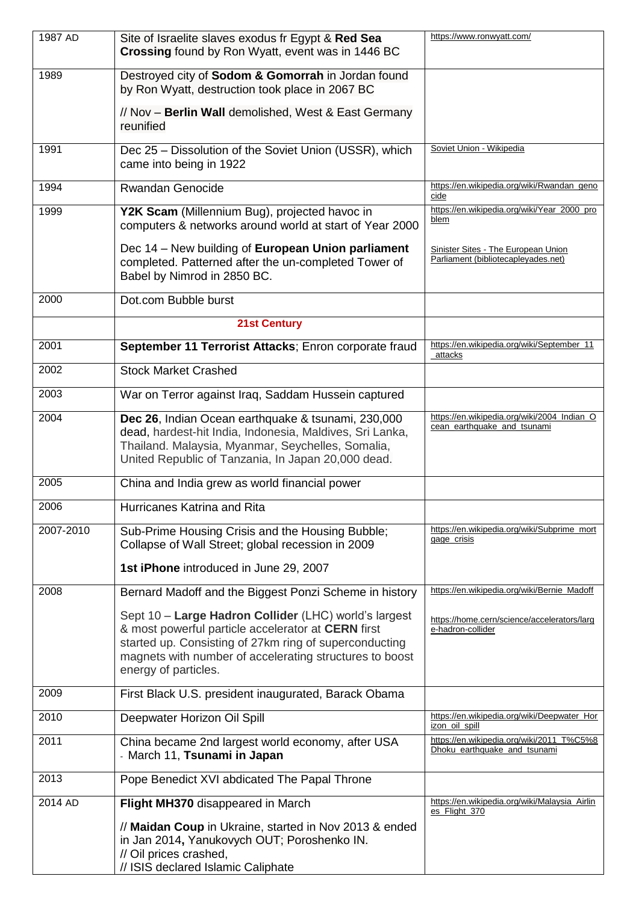| 1987 AD   | Site of Israelite slaves exodus fr Egypt & Red Sea                                                                                                                                                                                                       | https://www.ronwyatt.com/                                                  |
|-----------|----------------------------------------------------------------------------------------------------------------------------------------------------------------------------------------------------------------------------------------------------------|----------------------------------------------------------------------------|
|           | Crossing found by Ron Wyatt, event was in 1446 BC                                                                                                                                                                                                        |                                                                            |
| 1989      | Destroyed city of Sodom & Gomorrah in Jordan found<br>by Ron Wyatt, destruction took place in 2067 BC                                                                                                                                                    |                                                                            |
|           | // Nov - Berlin Wall demolished, West & East Germany<br>reunified                                                                                                                                                                                        |                                                                            |
| 1991      | Dec 25 - Dissolution of the Soviet Union (USSR), which<br>came into being in 1922                                                                                                                                                                        | Soviet Union - Wikipedia                                                   |
| 1994      | Rwandan Genocide                                                                                                                                                                                                                                         | https://en.wikipedia.org/wiki/Rwandan_geno<br>cide                         |
| 1999      | Y2K Scam (Millennium Bug), projected havoc in<br>computers & networks around world at start of Year 2000                                                                                                                                                 | https://en.wikipedia.org/wiki/Year_2000_pro<br>blem                        |
|           | Dec 14 - New building of European Union parliament<br>completed. Patterned after the un-completed Tower of<br>Babel by Nimrod in 2850 BC.                                                                                                                | Sinister Sites - The European Union<br>Parliament (bibliotecapleyades.net) |
| 2000      | Dot.com Bubble burst                                                                                                                                                                                                                                     |                                                                            |
|           | <b>21st Century</b>                                                                                                                                                                                                                                      |                                                                            |
| 2001      | September 11 Terrorist Attacks; Enron corporate fraud                                                                                                                                                                                                    | https://en.wikipedia.org/wiki/September_11<br>attacks                      |
| 2002      | <b>Stock Market Crashed</b>                                                                                                                                                                                                                              |                                                                            |
| 2003      | War on Terror against Iraq, Saddam Hussein captured                                                                                                                                                                                                      |                                                                            |
| 2004      | Dec 26, Indian Ocean earthquake & tsunami, 230,000<br>dead, hardest-hit India, Indonesia, Maldives, Sri Lanka,<br>Thailand. Malaysia, Myanmar, Seychelles, Somalia,<br>United Republic of Tanzania, In Japan 20,000 dead.                                | https://en.wikipedia.org/wiki/2004_Indian_O<br>cean_earthquake_and_tsunami |
| 2005      | China and India grew as world financial power                                                                                                                                                                                                            |                                                                            |
| 2006      | Hurricanes Katrina and Rita                                                                                                                                                                                                                              |                                                                            |
| 2007-2010 | Sub-Prime Housing Crisis and the Housing Bubble;<br>Collapse of Wall Street; global recession in 2009                                                                                                                                                    | https://en.wikipedia.org/wiki/Subprime_mort<br>gage_crisis                 |
|           | 1st iPhone introduced in June 29, 2007                                                                                                                                                                                                                   |                                                                            |
| 2008      | Bernard Madoff and the Biggest Ponzi Scheme in history                                                                                                                                                                                                   | https://en.wikipedia.org/wiki/Bernie_Madoff                                |
|           | Sept 10 - Large Hadron Collider (LHC) world's largest<br>& most powerful particle accelerator at CERN first<br>started up. Consisting of 27km ring of superconducting<br>magnets with number of accelerating structures to boost<br>energy of particles. | https://home.cern/science/accelerators/larg<br>e-hadron-collider           |
| 2009      | First Black U.S. president inaugurated, Barack Obama                                                                                                                                                                                                     |                                                                            |
| 2010      | Deepwater Horizon Oil Spill                                                                                                                                                                                                                              | https://en.wikipedia.org/wiki/Deepwater_Hor<br>izon_oil_spill              |
| 2011      | China became 2nd largest world economy, after USA<br>- March 11, Tsunami in Japan                                                                                                                                                                        | https://en.wikipedia.org/wiki/2011_T%C5%8<br>Dhoku_earthquake_and_tsunami  |
| 2013      | Pope Benedict XVI abdicated The Papal Throne                                                                                                                                                                                                             |                                                                            |
| 2014 AD   | Flight MH370 disappeared in March<br>// Maidan Coup in Ukraine, started in Nov 2013 & ended<br>in Jan 2014, Yanukovych OUT; Poroshenko IN.<br>// Oil prices crashed,                                                                                     | https://en.wikipedia.org/wiki/Malaysia_Airlin<br>es_Flight_370             |
|           | // ISIS declared Islamic Caliphate                                                                                                                                                                                                                       |                                                                            |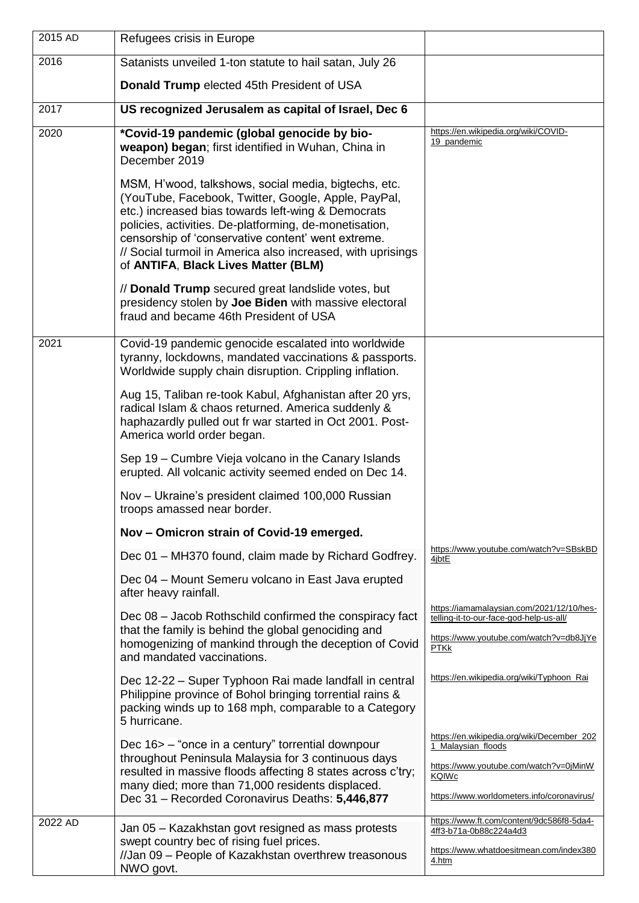| 2015 AD | Refugees crisis in Europe                                                                                                                                                                                                                                                                                                                                                               |                                                                                                                                                                   |
|---------|-----------------------------------------------------------------------------------------------------------------------------------------------------------------------------------------------------------------------------------------------------------------------------------------------------------------------------------------------------------------------------------------|-------------------------------------------------------------------------------------------------------------------------------------------------------------------|
| 2016    | Satanists unveiled 1-ton statute to hail satan, July 26                                                                                                                                                                                                                                                                                                                                 |                                                                                                                                                                   |
|         | Donald Trump elected 45th President of USA                                                                                                                                                                                                                                                                                                                                              |                                                                                                                                                                   |
| 2017    | US recognized Jerusalem as capital of Israel, Dec 6                                                                                                                                                                                                                                                                                                                                     |                                                                                                                                                                   |
| 2020    | *Covid-19 pandemic (global genocide by bio-<br>weapon) began; first identified in Wuhan, China in<br>December 2019                                                                                                                                                                                                                                                                      | https://en.wikipedia.org/wiki/COVID-<br>19_pandemic                                                                                                               |
|         | MSM, H'wood, talkshows, social media, bigtechs, etc.<br>(YouTube, Facebook, Twitter, Google, Apple, PayPal,<br>etc.) increased bias towards left-wing & Democrats<br>policies, activities. De-platforming, de-monetisation,<br>censorship of 'conservative content' went extreme.<br>// Social turmoil in America also increased, with uprisings<br>of ANTIFA, Black Lives Matter (BLM) |                                                                                                                                                                   |
|         | // Donald Trump secured great landslide votes, but<br>presidency stolen by Joe Biden with massive electoral<br>fraud and became 46th President of USA                                                                                                                                                                                                                                   |                                                                                                                                                                   |
| 2021    | Covid-19 pandemic genocide escalated into worldwide<br>tyranny, lockdowns, mandated vaccinations & passports.<br>Worldwide supply chain disruption. Crippling inflation.                                                                                                                                                                                                                |                                                                                                                                                                   |
|         | Aug 15, Taliban re-took Kabul, Afghanistan after 20 yrs,<br>radical Islam & chaos returned. America suddenly &<br>haphazardly pulled out fr war started in Oct 2001. Post-<br>America world order began.                                                                                                                                                                                |                                                                                                                                                                   |
|         | Sep 19 - Cumbre Vieja volcano in the Canary Islands<br>erupted. All volcanic activity seemed ended on Dec 14.                                                                                                                                                                                                                                                                           |                                                                                                                                                                   |
|         | Nov - Ukraine's president claimed 100,000 Russian<br>troops amassed near border.                                                                                                                                                                                                                                                                                                        |                                                                                                                                                                   |
|         | Nov - Omicron strain of Covid-19 emerged.                                                                                                                                                                                                                                                                                                                                               |                                                                                                                                                                   |
|         | Dec 01 - MH370 found, claim made by Richard Godfrey.                                                                                                                                                                                                                                                                                                                                    | https://www.youtube.com/watch?v=SBskBD<br>4ibtE                                                                                                                   |
|         | Dec 04 - Mount Semeru volcano in East Java erupted<br>after heavy rainfall.                                                                                                                                                                                                                                                                                                             |                                                                                                                                                                   |
|         | Dec 08 - Jacob Rothschild confirmed the conspiracy fact<br>that the family is behind the global genociding and<br>homogenizing of mankind through the deception of Covid<br>and mandated vaccinations.                                                                                                                                                                                  | https://iamamalaysian.com/2021/12/10/hes-<br>telling-it-to-our-face-god-help-us-all/<br>https://www.youtube.com/watch?v=db8JjYe<br><b>PTKk</b>                    |
|         | Dec 12-22 – Super Typhoon Rai made landfall in central<br>Philippine province of Bohol bringing torrential rains &<br>packing winds up to 168 mph, comparable to a Category<br>5 hurricane.                                                                                                                                                                                             | https://en.wikipedia.org/wiki/Typhoon_Rai                                                                                                                         |
|         | Dec 16> - "once in a century" torrential downpour<br>throughout Peninsula Malaysia for 3 continuous days<br>resulted in massive floods affecting 8 states across c'try;<br>many died; more than 71,000 residents displaced.<br>Dec 31 - Recorded Coronavirus Deaths: 5,446,877                                                                                                          | https://en.wikipedia.org/wiki/December_202<br>1_Malaysian_floods<br>https://www.youtube.com/watch?v=0jMinW<br>KQIWc<br>https://www.worldometers.info/coronavirus/ |
| 2022 AD | Jan 05 - Kazakhstan govt resigned as mass protests<br>swept country bec of rising fuel prices.<br>//Jan 09 - People of Kazakhstan overthrew treasonous<br>NWO govt.                                                                                                                                                                                                                     | https://www.ft.com/content/9dc586f8-5da4-<br>4ff3-b71a-0b88c224a4d3<br>https://www.whatdoesitmean.com/index380<br>4.htm                                           |